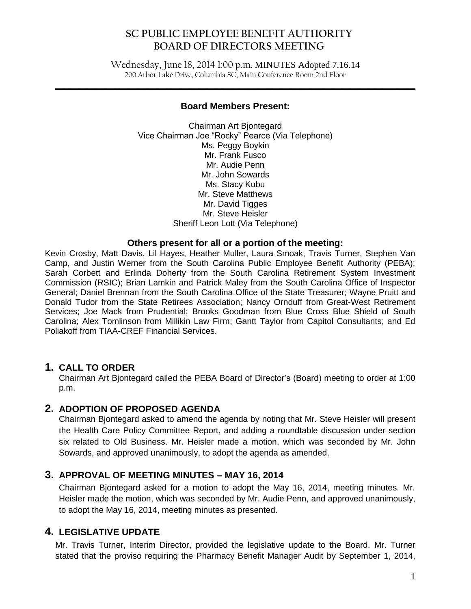Wednesday, June 18, 2014 1:00 p.m. MINUTES Adopted 7.16.14 200 Arbor Lake Drive, Columbia SC, Main Conference Room 2nd Floor

 $\mathcal{L}_\mathcal{L} = \mathcal{L}_\mathcal{L} = \mathcal{L}_\mathcal{L} = \mathcal{L}_\mathcal{L} = \mathcal{L}_\mathcal{L} = \mathcal{L}_\mathcal{L} = \mathcal{L}_\mathcal{L} = \mathcal{L}_\mathcal{L} = \mathcal{L}_\mathcal{L} = \mathcal{L}_\mathcal{L} = \mathcal{L}_\mathcal{L} = \mathcal{L}_\mathcal{L} = \mathcal{L}_\mathcal{L} = \mathcal{L}_\mathcal{L} = \mathcal{L}_\mathcal{L} = \mathcal{L}_\mathcal{L} = \mathcal{L}_\mathcal{L}$ 

## **Board Members Present:**

Chairman Art Bjontegard Vice Chairman Joe "Rocky" Pearce (Via Telephone) Ms. Peggy Boykin Mr. Frank Fusco Mr. Audie Penn Mr. John Sowards Ms. Stacy Kubu Mr. Steve Matthews Mr. David Tigges Mr. Steve Heisler Sheriff Leon Lott (Via Telephone)

# **Others present for all or a portion of the meeting:**

Kevin Crosby, Matt Davis, Lil Hayes, Heather Muller, Laura Smoak, Travis Turner, Stephen Van Camp, and Justin Werner from the South Carolina Public Employee Benefit Authority (PEBA); Sarah Corbett and Erlinda Doherty from the South Carolina Retirement System Investment Commission (RSIC); Brian Lamkin and Patrick Maley from the South Carolina Office of Inspector General; Daniel Brennan from the South Carolina Office of the State Treasurer; Wayne Pruitt and Donald Tudor from the State Retirees Association; Nancy Ornduff from Great-West Retirement Services; Joe Mack from Prudential; Brooks Goodman from Blue Cross Blue Shield of South Carolina; Alex Tomlinson from Millikin Law Firm; Gantt Taylor from Capitol Consultants; and Ed Poliakoff from TIAA-CREF Financial Services.

# **1. CALL TO ORDER**

Chairman Art Bjontegard called the PEBA Board of Director's (Board) meeting to order at 1:00 p.m.

## **2. ADOPTION OF PROPOSED AGENDA**

Chairman Bjontegard asked to amend the agenda by noting that Mr. Steve Heisler will present the Health Care Policy Committee Report, and adding a roundtable discussion under section six related to Old Business. Mr. Heisler made a motion, which was seconded by Mr. John Sowards, and approved unanimously, to adopt the agenda as amended.

# **3. APPROVAL OF MEETING MINUTES – MAY 16, 2014**

Chairman Bjontegard asked for a motion to adopt the May 16, 2014, meeting minutes. Mr. Heisler made the motion, which was seconded by Mr. Audie Penn, and approved unanimously, to adopt the May 16, 2014, meeting minutes as presented.

# **4. LEGISLATIVE UPDATE**

Mr. Travis Turner, Interim Director, provided the legislative update to the Board. Mr. Turner stated that the proviso requiring the Pharmacy Benefit Manager Audit by September 1, 2014,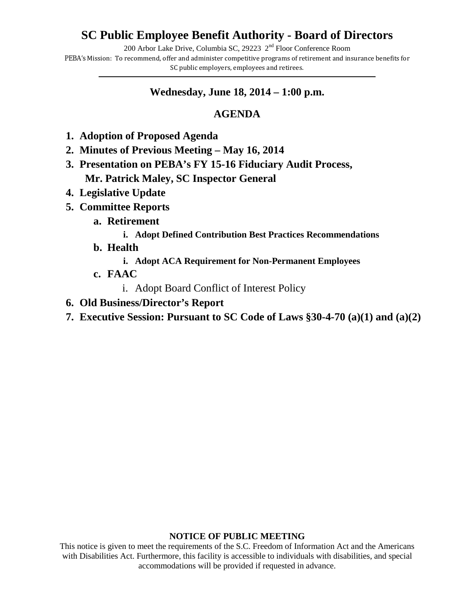# **SC Public Employee Benefit Authority - Board of Directors**

200 Arbor Lake Drive, Columbia SC, 29223  $2<sup>nd</sup>$  Floor Conference Room

PEBA's Mission: To recommend, offer and administer competitive programs of retirement and insurance benefits for SC public employers, employees and retirees. **\_\_\_\_\_\_\_\_\_\_\_\_\_\_\_\_\_\_\_\_\_\_\_\_\_\_\_\_\_\_\_\_\_\_\_\_\_\_\_\_\_\_\_\_\_\_\_\_\_\_\_\_\_\_\_\_\_\_\_\_\_\_\_\_\_\_\_\_\_\_\_\_\_\_\_\_\_\_\_\_\_\_\_\_\_\_\_\_\_\_\_\_\_\_\_\_\_\_\_\_\_\_\_\_\_\_\_\_\_\_\_\_\_\_\_\_\_\_\_\_\_\_\_\_\_\_\_\_\_\_\_\_\_\_\_\_\_\_\_\_\_\_\_\_**

# **Wednesday, June 18, 2014 – 1:00 p.m.**

# **AGENDA**

- **1. Adoption of Proposed Agenda**
- **2. Minutes of Previous Meeting May 16, 2014**
- **3. Presentation on PEBA's FY 15-16 Fiduciary Audit Process, Mr. Patrick Maley, SC Inspector General**
- **4. Legislative Update**
- **5. Committee Reports**
	- **a. Retirement**
		- **i. Adopt Defined Contribution Best Practices Recommendations**
	- **b. Health**
		- **i. Adopt ACA Requirement for Non-Permanent Employees**
	- **c. FAAC**
		- i. Adopt Board Conflict of Interest Policy
- **6. Old Business/Director's Report**
- **7. Executive Session: Pursuant to SC Code of Laws §30-4-70 (a)(1) and (a)(2)**

## **NOTICE OF PUBLIC MEETING**

This notice is given to meet the requirements of the S.C. Freedom of Information Act and the Americans with Disabilities Act. Furthermore, this facility is accessible to individuals with disabilities, and special accommodations will be provided if requested in advance.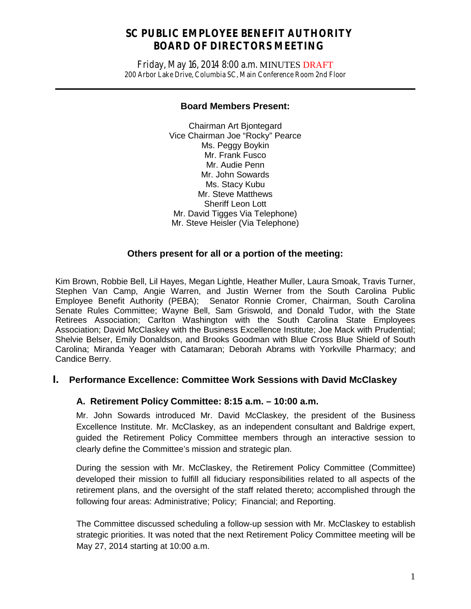Friday, May 16, 2014 8:00 a.m. MINUTES DRAFT 200 Arbor Lake Drive, Columbia SC, Main Conference Room 2nd Floor

**\_\_\_\_\_\_\_\_\_\_\_\_\_\_\_\_\_\_\_\_\_\_\_\_\_\_\_\_\_\_\_\_\_\_\_\_\_\_\_\_\_\_\_\_\_\_\_\_\_\_\_\_\_\_\_\_\_\_\_\_\_\_\_\_\_\_\_\_\_\_\_\_\_\_\_\_\_\_**

#### **Board Members Present:**

Chairman Art Bjontegard Vice Chairman Joe "Rocky" Pearce Ms. Peggy Boykin Mr. Frank Fusco Mr. Audie Penn Mr. John Sowards Ms. Stacy Kubu Mr. Steve Matthews Sheriff Leon Lott Mr. David Tigges Via Telephone) Mr. Steve Heisler (Via Telephone)

# **Others present for all or a portion of the meeting:**

Kim Brown, Robbie Bell, Lil Hayes, Megan Lightle, Heather Muller, Laura Smoak, Travis Turner, Stephen Van Camp, Angie Warren, and Justin Werner from the South Carolina Public Employee Benefit Authority (PEBA); Senator Ronnie Cromer, Chairman, South Carolina Senate Rules Committee; Wayne Bell, Sam Griswold, and Donald Tudor, with the State Retirees Association; Carlton Washington with the South Carolina State Employees Association; David McClaskey with the Business Excellence Institute; Joe Mack with Prudential; Shelvie Belser, Emily Donaldson, and Brooks Goodman with Blue Cross Blue Shield of South Carolina; Miranda Yeager with Catamaran; Deborah Abrams with Yorkville Pharmacy; and Candice Berry.

# **I. Performance Excellence: Committee Work Sessions with David McClaskey**

# **A. Retirement Policy Committee: 8:15 a.m. – 10:00 a.m.**

Mr. John Sowards introduced Mr. David McClaskey, the president of the Business Excellence Institute. Mr. McClaskey, as an independent consultant and Baldrige expert, guided the Retirement Policy Committee members through an interactive session to clearly define the Committee's mission and strategic plan.

During the session with Mr. McClaskey, the Retirement Policy Committee (Committee) developed their mission to fulfill all fiduciary responsibilities related to all aspects of the retirement plans, and the oversight of the staff related thereto; accomplished through the following four areas: Administrative; Policy; Financial; and Reporting.

The Committee discussed scheduling a follow-up session with Mr. McClaskey to establish strategic priorities. It was noted that the next Retirement Policy Committee meeting will be May 27, 2014 starting at 10:00 a.m.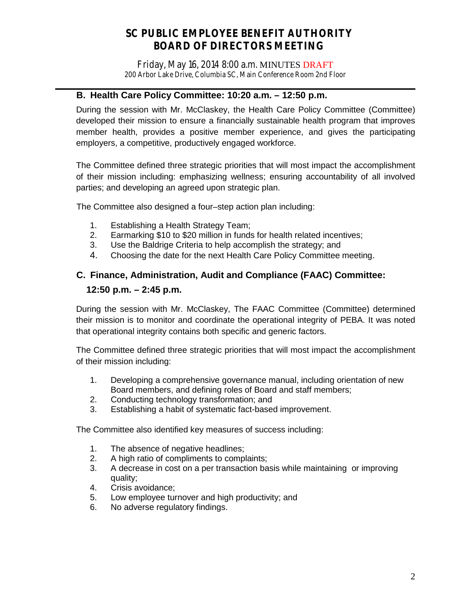Friday, May 16, 2014 8:00 a.m. MINUTES DRAFT 200 Arbor Lake Drive, Columbia SC, Main Conference Room 2nd Floor

# **\_\_\_\_\_\_\_\_\_\_\_\_\_\_\_\_\_\_\_\_\_\_\_\_\_\_\_\_\_\_\_\_\_\_\_\_\_\_\_\_\_\_\_\_\_\_\_\_\_\_\_\_\_\_\_\_\_\_\_\_\_\_\_\_\_\_\_\_\_\_\_\_\_\_\_\_\_\_ B. Health Care Policy Committee: 10:20 a.m. – 12:50 p.m.**

During the session with Mr. McClaskey, the Health Care Policy Committee (Committee) developed their mission to ensure a financially sustainable health program that improves member health, provides a positive member experience, and gives the participating employers, a competitive, productively engaged workforce.

The Committee defined three strategic priorities that will most impact the accomplishment of their mission including: emphasizing wellness; ensuring accountability of all involved parties; and developing an agreed upon strategic plan.

The Committee also designed a four–step action plan including:

- 1. Establishing a Health Strategy Team;
- 2. Earmarking \$10 to \$20 million in funds for health related incentives;
- 3. Use the Baldrige Criteria to help accomplish the strategy; and
- 4. Choosing the date for the next Health Care Policy Committee meeting.

# **C. Finance, Administration, Audit and Compliance (FAAC) Committee: 12:50 p.m. – 2:45 p.m.**

During the session with Mr. McClaskey, The FAAC Committee (Committee) determined their mission is to monitor and coordinate the operational integrity of PEBA. It was noted that operational integrity contains both specific and generic factors.

The Committee defined three strategic priorities that will most impact the accomplishment of their mission including:

- 1. Developing a comprehensive governance manual, including orientation of new Board members, and defining roles of Board and staff members;
- 2. Conducting technology transformation; and
- 3. Establishing a habit of systematic fact-based improvement.

The Committee also identified key measures of success including:

- 1. The absence of negative headlines;
- 2. A high ratio of compliments to complaints:
- 3. A decrease in cost on a per transaction basis while maintaining or improving quality;
- 4. Crisis avoidance;
- 5. Low employee turnover and high productivity; and 6. No adverse requiatory findings.
- No adverse regulatory findings.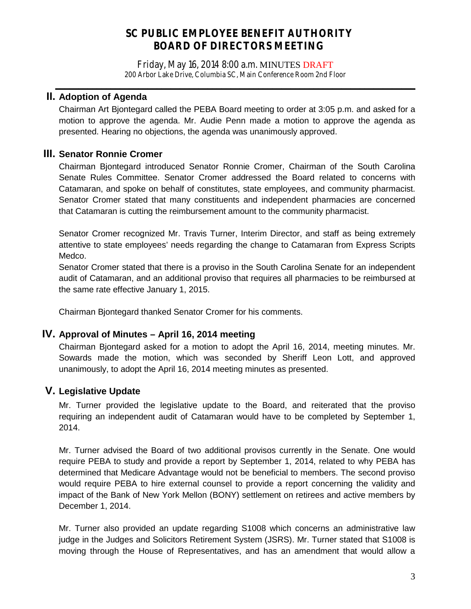Friday, May 16, 2014 8:00 a.m. MINUTES DRAFT 200 Arbor Lake Drive, Columbia SC, Main Conference Room 2nd Floor

**\_\_\_\_\_\_\_\_\_\_\_\_\_\_\_\_\_\_\_\_\_\_\_\_\_\_\_\_\_\_\_\_\_\_\_\_\_\_\_\_\_\_\_\_\_\_\_\_\_\_\_\_\_\_\_\_\_\_\_\_\_\_\_\_\_\_\_\_\_\_\_\_\_\_\_\_\_\_**

# **II. Adoption of Agenda**

Chairman Art Bjontegard called the PEBA Board meeting to order at 3:05 p.m. and asked for a motion to approve the agenda. Mr. Audie Penn made a motion to approve the agenda as presented. Hearing no objections, the agenda was unanimously approved.

# **III. Senator Ronnie Cromer**

Chairman Bjontegard introduced Senator Ronnie Cromer, Chairman of the South Carolina Senate Rules Committee. Senator Cromer addressed the Board related to concerns with Catamaran, and spoke on behalf of constitutes, state employees, and community pharmacist. Senator Cromer stated that many constituents and independent pharmacies are concerned that Catamaran is cutting the reimbursement amount to the community pharmacist.

Senator Cromer recognized Mr. Travis Turner, Interim Director, and staff as being extremely attentive to state employees' needs regarding the change to Catamaran from Express Scripts Medco.

Senator Cromer stated that there is a proviso in the South Carolina Senate for an independent audit of Catamaran, and an additional proviso that requires all pharmacies to be reimbursed at the same rate effective January 1, 2015.

Chairman Bjontegard thanked Senator Cromer for his comments.

# **IV. Approval of Minutes – April 16, 2014 meeting**

Chairman Bjontegard asked for a motion to adopt the April 16, 2014, meeting minutes. Mr. Sowards made the motion, which was seconded by Sheriff Leon Lott, and approved unanimously, to adopt the April 16, 2014 meeting minutes as presented.

# **V. Legislative Update**

Mr. Turner provided the legislative update to the Board, and reiterated that the proviso requiring an independent audit of Catamaran would have to be completed by September 1, 2014.

Mr. Turner advised the Board of two additional provisos currently in the Senate. One would require PEBA to study and provide a report by September 1, 2014, related to why PEBA has determined that Medicare Advantage would not be beneficial to members. The second proviso would require PEBA to hire external counsel to provide a report concerning the validity and impact of the Bank of New York Mellon (BONY) settlement on retirees and active members by December 1, 2014.

Mr. Turner also provided an update regarding S1008 which concerns an administrative law judge in the Judges and Solicitors Retirement System (JSRS). Mr. Turner stated that S1008 is moving through the House of Representatives, and has an amendment that would allow a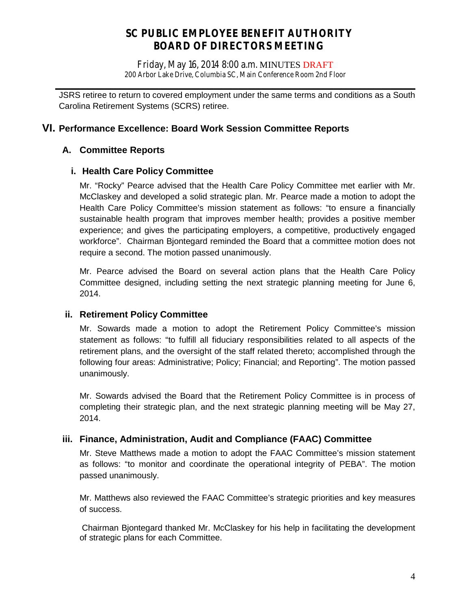Friday, May 16, 2014 8:00 a.m. MINUTES DRAFT 200 Arbor Lake Drive, Columbia SC, Main Conference Room 2nd Floor

**\_\_\_\_\_\_\_\_\_\_\_\_\_\_\_\_\_\_\_\_\_\_\_\_\_\_\_\_\_\_\_\_\_\_\_\_\_\_\_\_\_\_\_\_\_\_\_\_\_\_\_\_\_\_\_\_\_\_\_\_\_\_\_\_\_\_\_\_\_\_\_\_\_\_\_\_\_\_** JSRS retiree to return to covered employment under the same terms and conditions as a South Carolina Retirement Systems (SCRS) retiree.

# **VI. Performance Excellence: Board Work Session Committee Reports**

# **A. Committee Reports**

# **i. Health Care Policy Committee**

Mr. "Rocky" Pearce advised that the Health Care Policy Committee met earlier with Mr. McClaskey and developed a solid strategic plan. Mr. Pearce made a motion to adopt the Health Care Policy Committee's mission statement as follows: "to ensure a financially sustainable health program that improves member health; provides a positive member experience; and gives the participating employers, a competitive, productively engaged workforce". Chairman Bjontegard reminded the Board that a committee motion does not require a second. The motion passed unanimously.

Mr. Pearce advised the Board on several action plans that the Health Care Policy Committee designed, including setting the next strategic planning meeting for June 6, 2014.

# **ii. Retirement Policy Committee**

Mr. Sowards made a motion to adopt the Retirement Policy Committee's mission statement as follows: "to fulfill all fiduciary responsibilities related to all aspects of the retirement plans, and the oversight of the staff related thereto; accomplished through the following four areas: Administrative; Policy; Financial; and Reporting". The motion passed unanimously.

Mr. Sowards advised the Board that the Retirement Policy Committee is in process of completing their strategic plan, and the next strategic planning meeting will be May 27, 2014.

# **iii. Finance, Administration, Audit and Compliance (FAAC) Committee**

Mr. Steve Matthews made a motion to adopt the FAAC Committee's mission statement as follows: "to monitor and coordinate the operational integrity of PEBA". The motion passed unanimously.

Mr. Matthews also reviewed the FAAC Committee's strategic priorities and key measures of success.

Chairman Bjontegard thanked Mr. McClaskey for his help in facilitating the development of strategic plans for each Committee.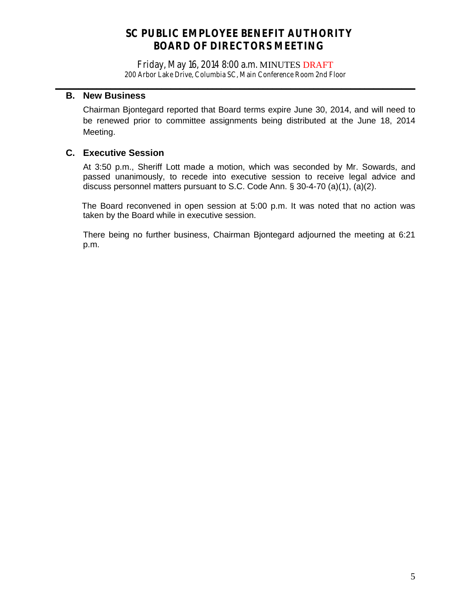Friday, May 16, 2014 8:00 a.m. MINUTES DRAFT 200 Arbor Lake Drive, Columbia SC, Main Conference Room 2nd Floor

**\_\_\_\_\_\_\_\_\_\_\_\_\_\_\_\_\_\_\_\_\_\_\_\_\_\_\_\_\_\_\_\_\_\_\_\_\_\_\_\_\_\_\_\_\_\_\_\_\_\_\_\_\_\_\_\_\_\_\_\_\_\_\_\_\_\_\_\_\_\_\_\_\_\_\_\_\_\_**

# **B. New Business**

Chairman Bjontegard reported that Board terms expire June 30, 2014, and will need to be renewed prior to committee assignments being distributed at the June 18, 2014 Meeting.

# **C. Executive Session**

At 3:50 p.m., Sheriff Lott made a motion, which was seconded by Mr. Sowards, and passed unanimously, to recede into executive session to receive legal advice and discuss personnel matters pursuant to S.C. Code Ann. § 30-4-70 (a)(1), (a)(2).

The Board reconvened in open session at 5:00 p.m. It was noted that no action was taken by the Board while in executive session.

There being no further business, Chairman Bjontegard adjourned the meeting at 6:21 p.m.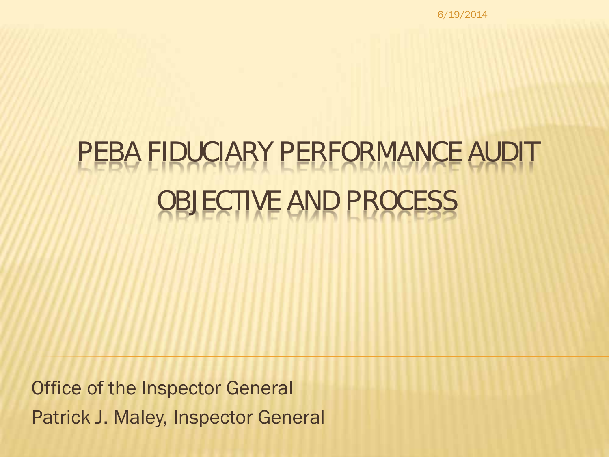6/19/2014

# PEBA FIDUCIARY PERFORMANCE AUDIT OBJECTIVE AND PROCESS

Office of the Inspector General Patrick J. Maley, Inspector General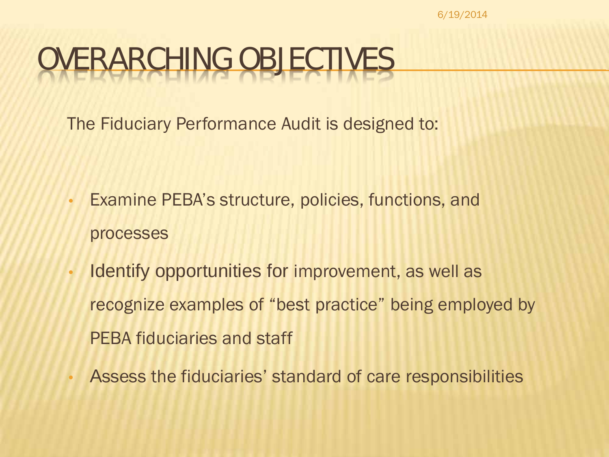6/19/2014

# VERARCHING OBJECTIVES

The Fiduciary Performance Audit is designed to:

- Examine PEBA's structure, policies, functions, and processes
- Identify opportunities for improvement, as well as recognize examples of "best practice" being employed by PEBA fiduciaries and staff
	- Assess the fiduciaries' standard of care responsibilities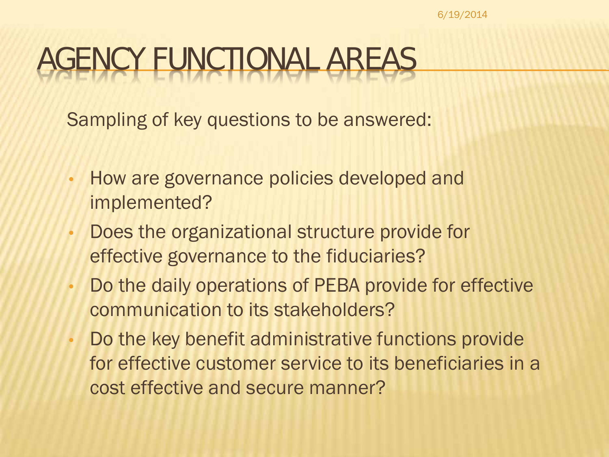# AGENCY FUNCTIONAL AREAS

Sampling of key questions to be answered:

- How are governance policies developed and implemented?
- Does the organizational structure provide for effective governance to the fiduciaries?
- Do the daily operations of PEBA provide for effective communication to its stakeholders?
- Do the key benefit administrative functions provide for effective customer service to its beneficiaries in a cost effective and secure manner?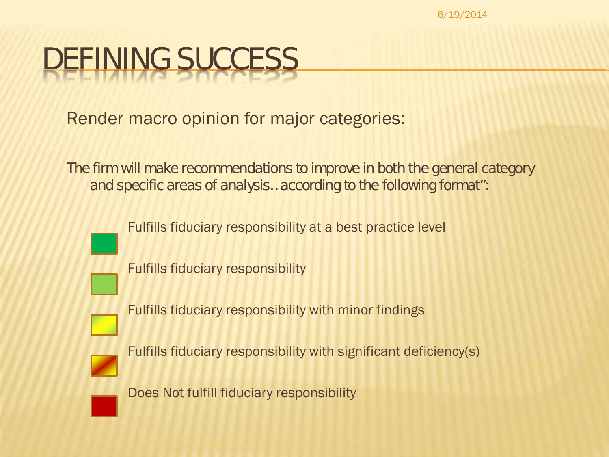6/19/2014

# DEFINING SUCCESS

Render macro opinion for major categories:

*The firm will make recommendations to improve in both the general category and specific areas of analysis…according to the following format":*

Fulfills fiduciary responsibility at a best practice level

Fulfills fiduciary responsibility

Fulfills fiduciary responsibility with minor findings

Fulfills fiduciary responsibility with significant deficiency(s)

Does Not fulfill fiduciary responsibility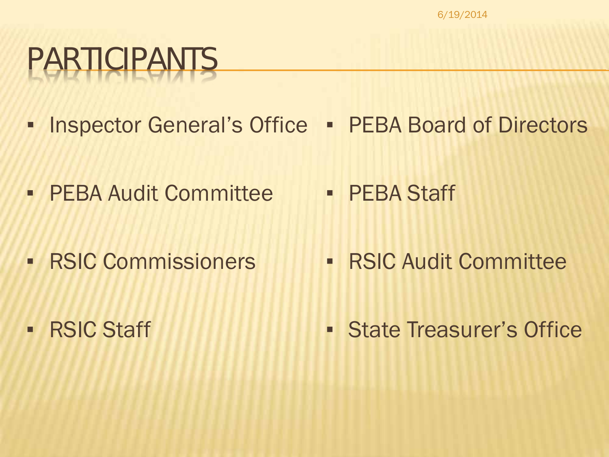# PARTICIPANTS

- **Inspector General's Office PEBA Board of Directors**
- **PEBA Audit Committee • PEBA Staff**
- **RSIC Commissioners**

**• RSIC Audit Committee** 

**• RSIC Staff** 

▪ State Treasurer's Office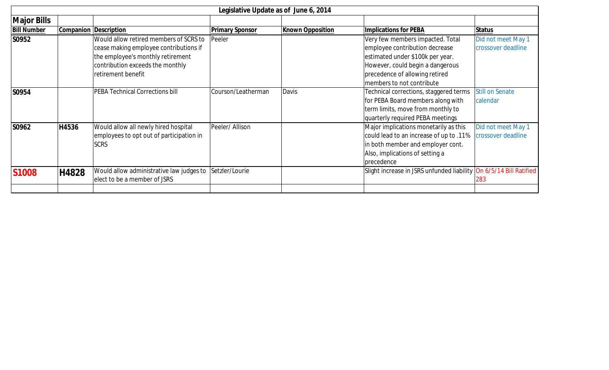| Legislative Update as of June 6, 2014 |       |                                          |                        |                         |                                                                    |                        |  |
|---------------------------------------|-------|------------------------------------------|------------------------|-------------------------|--------------------------------------------------------------------|------------------------|--|
| <b>Major Bills</b>                    |       |                                          |                        |                         |                                                                    |                        |  |
| <b>Bill Number</b>                    |       | Companion Description                    | <b>Primary Sponsor</b> | <b>Known Opposition</b> | <b>Implications for PEBA</b>                                       | Status                 |  |
| S0952                                 |       | Would allow retired members of SCRS to   | Peeler                 |                         | Very few members impacted. Total                                   | Did not meet May 1     |  |
|                                       |       | cease making employee contributions if   |                        |                         | employee contribution decrease                                     | crossover deadline     |  |
|                                       |       | the employee's monthly retirement        |                        |                         | estimated under \$100k per year.                                   |                        |  |
|                                       |       | contribution exceeds the monthly         |                        |                         | However, could begin a dangerous                                   |                        |  |
|                                       |       | retirement benefit                       |                        |                         | precedence of allowing retired                                     |                        |  |
|                                       |       |                                          |                        |                         | members to not contribute                                          |                        |  |
| S0954                                 |       | PEBA Technical Corrections bill          | Courson/Leatherman     | Davis                   | Technical corrections, staggered terms                             | <b>Still on Senate</b> |  |
|                                       |       |                                          |                        |                         | for PEBA Board members along with                                  | calendar               |  |
|                                       |       |                                          |                        |                         | term limits, move from monthly to                                  |                        |  |
|                                       |       |                                          |                        |                         | quarterly required PEBA meetings                                   |                        |  |
| S0962                                 | H4536 | Would allow all newly hired hospital     | Peeler/ Allison        |                         | Major implications monetarily as this                              | Did not meet May 1     |  |
|                                       |       | employees to opt out of participation in |                        |                         | could lead to an increase of up to .11%                            | crossover deadline     |  |
|                                       |       | <b>SCRS</b>                              |                        |                         | in both member and employer cont.                                  |                        |  |
|                                       |       |                                          |                        |                         | Also, implications of setting a                                    |                        |  |
|                                       |       |                                          |                        |                         | precedence                                                         |                        |  |
| <b>S1008</b>                          | H4828 | Would allow administrative law judges to | Setzler/Lourie         |                         | Slight increase in JSRS unfunded liability On 6/5/14 Bill Ratified |                        |  |
|                                       |       | elect to be a member of JSRS             |                        |                         |                                                                    | 283                    |  |
|                                       |       |                                          |                        |                         |                                                                    |                        |  |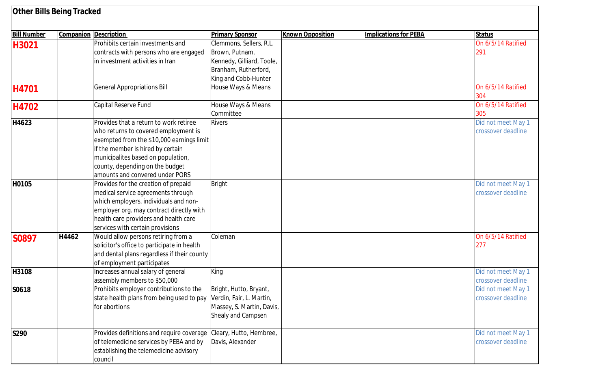| <b>Other Bills Being Tracked</b> |       |                                                                                                                                                                                                                                                                              |                                                                                                                        |                         |                              |                                          |
|----------------------------------|-------|------------------------------------------------------------------------------------------------------------------------------------------------------------------------------------------------------------------------------------------------------------------------------|------------------------------------------------------------------------------------------------------------------------|-------------------------|------------------------------|------------------------------------------|
| <b>Bill Number</b>               |       | <b>Companion Description</b>                                                                                                                                                                                                                                                 | <b>Primary Sponsor</b>                                                                                                 | <b>Known Opposition</b> | <b>Implications for PEBA</b> | <b>Status</b>                            |
| H3021                            |       | Prohibits certain investments and<br>contracts with persons who are engaged<br>in investment activities in Iran                                                                                                                                                              | Clemmons, Sellers, R.L.<br>Brown, Putnam,<br>Kennedy, Gilliard, Toole,<br>Branham, Rutherford,<br>King and Cobb-Hunter |                         |                              | On 6/5/14 Ratified<br>291                |
| H4701                            |       | <b>General Appropriations Bill</b>                                                                                                                                                                                                                                           | House Ways & Means                                                                                                     |                         |                              | On 6/5/14 Ratified<br>304                |
| H4702                            |       | Capital Reserve Fund                                                                                                                                                                                                                                                         | House Ways & Means<br>Committee                                                                                        |                         |                              | On 6/5/14 Ratified<br>305                |
| H4623                            |       | Provides that a return to work retiree<br>who returns to covered employment is<br>exempted from the \$10,000 earnings limit<br>if the member is hired by certain<br>municipalites based on population,<br>county, depending on the budget<br>amounts and convered under PORS | <b>Rivers</b>                                                                                                          |                         |                              | Did not meet May 1<br>crossover deadline |
| H0105                            |       | Provides for the creation of prepaid<br>medical service agreements through<br>which employers, individuals and non-<br>employer org. may contract directly with<br>health care providers and health care<br>services with certain provisions                                 | <b>Bright</b>                                                                                                          |                         |                              | Did not meet May 1<br>crossover deadline |
| S0897                            | H4462 | Would allow persons retiring from a<br>solicitor's office to participate in health<br>and dental plans regardless if their county<br>of employment participates                                                                                                              | Coleman                                                                                                                |                         |                              | On 6/5/14 Ratified<br>277                |
| H3108                            |       | Increases annual salary of general<br>assembly members to \$50,000                                                                                                                                                                                                           | King                                                                                                                   |                         |                              | Did not meet May 1<br>crossover deadline |
| S0618                            |       | Prohibits employer contributions to the<br>state health plans from being used to pay<br>for abortions                                                                                                                                                                        | Bright, Hutto, Bryant,<br>Verdin, Fair, L. Martin,<br>Massey, S. Martin, Davis,<br>Shealy and Campsen                  |                         |                              | Did not meet May 1<br>crossover deadline |
| S290                             |       | Provides definitions and require coverage<br>of telemedicine services by PEBA and by<br>establishing the telemedicine advisory<br>council                                                                                                                                    | Cleary, Hutto, Hembree,<br>Davis, Alexander                                                                            |                         |                              | Did not meet May 1<br>crossover deadline |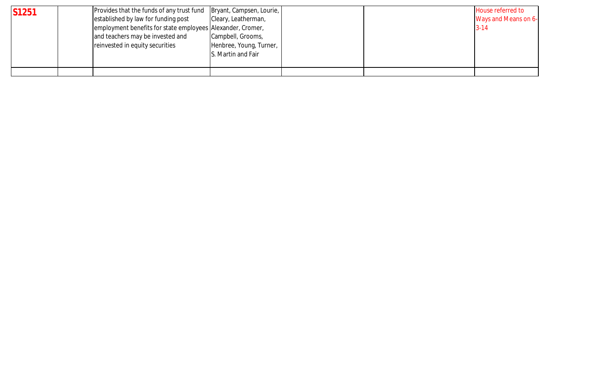| <b>S1251</b> | Provides that the funds of any trust fund<br>established by law for funding post<br>employment benefits for state employees Alexander, Cromer,<br>and teachers may be invested and<br>reinvested in equity securities | Bryant, Campsen, Lourie,  <br>Cleary, Leatherman,<br>Campbell, Grooms,<br>Henbree, Young, Turner,<br>S. Martin and Fair |  | House referred to<br>Ways and Means on 6-<br>$3 - 14$ |
|--------------|-----------------------------------------------------------------------------------------------------------------------------------------------------------------------------------------------------------------------|-------------------------------------------------------------------------------------------------------------------------|--|-------------------------------------------------------|
|              |                                                                                                                                                                                                                       |                                                                                                                         |  |                                                       |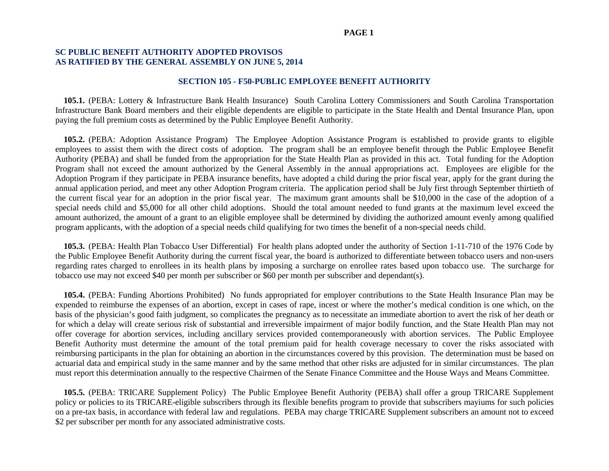#### **PAGE 1**

#### **SC PUBLIC BENEFIT AUTHORITY ADOPTED PROVISOS AS RATIFIED BY THE GENERAL ASSEMBLY ON JUNE 5, 2014**

#### **SECTION 105 - F50-PUBLIC EMPLOYEE BENEFIT AUTHORITY**

 **105.1.** (PEBA: Lottery & Infrastructure Bank Health Insurance) South Carolina Lottery Commissioners and South Carolina Transportation Infrastructure Bank Board members and their eligible dependents are eligible to participate in the State Health and Dental Insurance Plan, upon paying the full premium costs as determined by the Public Employee Benefit Authority.

**105.2.** (PEBA: Adoption Assistance Program) The Employee Adoption Assistance Program is established to provide grants to eligible employees to assist them with the direct costs of adoption. The program shall be an employee benefit through the Public Employee Benefit Authority (PEBA) and shall be funded from the appropriation for the State Health Plan as provided in this act. Total funding for the Adoption Program shall not exceed the amount authorized by the General Assembly in the annual appropriations act. Employees are eligible for the Adoption Program if they participate in PEBA insurance benefits, have adopted a child during the prior fiscal year, apply for the grant during the annual application period, and meet any other Adoption Program criteria. The application period shall be July first through September thirtieth of the current fiscal year for an adoption in the prior fiscal year. The maximum grant amounts shall be \$10,000 in the case of the adoption of a special needs child and \$5,000 for all other child adoptions. Should the total amount needed to fund grants at the maximum level exceed the amount authorized, the amount of a grant to an eligible employee shall be determined by dividing the authorized amount evenly among qualified program applicants, with the adoption of a special needs child qualifying for two times the benefit of a non-special needs child.

**105.3.** (PEBA: Health Plan Tobacco User Differential) For health plans adopted under the authority of Section 1-11-710 of the 1976 Code by the Public Employee Benefit Authority during the current fiscal year, the board is authorized to differentiate between tobacco users and non-users regarding rates charged to enrollees in its health plans by imposing a surcharge on enrollee rates based upon tobacco use. The surcharge for tobacco use may not exceed \$40 per month per subscriber or \$60 per month per subscriber and dependant(s).

 **105.4.** (PEBA: Funding Abortions Prohibited) No funds appropriated for employer contributions to the State Health Insurance Plan may be expended to reimburse the expenses of an abortion, except in cases of rape, incest or where the mother's medical condition is one which, on the basis of the physician's good faith judgment, so complicates the pregnancy as to necessitate an immediate abortion to avert the risk of her death or for which a delay will create serious risk of substantial and irreversible impairment of major bodily function, and the State Health Plan may not offer coverage for abortion services, including ancillary services provided contemporaneously with abortion services. The Public Employee Benefit Authority must determine the amount of the total premium paid for health coverage necessary to cover the risks associated with reimbursing participants in the plan for obtaining an abortion in the circumstances covered by this provision. The determination must be based on actuarial data and empirical study in the same manner and by the same method that other risks are adjusted for in similar circumstances. The plan must report this determination annually to the respective Chairmen of the Senate Finance Committee and the House Ways and Means Committee.

 **105.5.** (PEBA: TRICARE Supplement Policy) The Public Employee Benefit Authority (PEBA) shall offer a group TRICARE Supplement policy or policies to its TRICARE-eligible subscribers through its flexible benefits program to provide that subscribers mayiums for such policies on a pre-tax basis, in accordance with federal law and regulations. PEBA may charge TRICARE Supplement subscribers an amount not to exceed \$2 per subscriber per month for any associated administrative costs.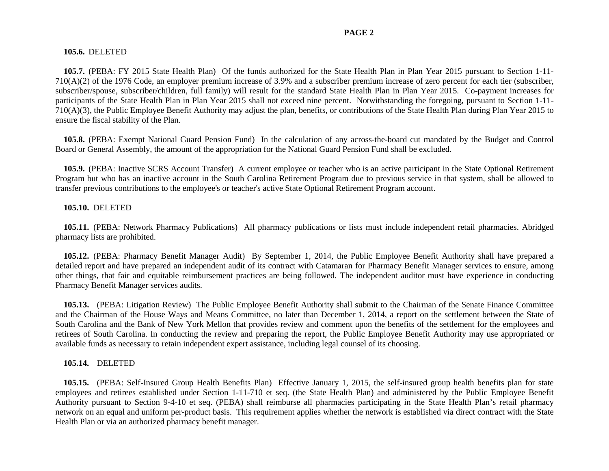#### **PAGE 2**

#### **105.6.** DELETED

**105.7.** (PEBA: FY 2015 State Health Plan) Of the funds authorized for the State Health Plan in Plan Year 2015 pursuant to Section 1-11- 710(A)(2) of the 1976 Code, an employer premium increase of 3.9% and a subscriber premium increase of zero percent for each tier (subscriber, subscriber/spouse, subscriber/children, full family) will result for the standard State Health Plan in Plan Year 2015. Co-payment increases for participants of the State Health Plan in Plan Year 2015 shall not exceed nine percent. Notwithstanding the foregoing, pursuant to Section 1-11- 710(A)(3), the Public Employee Benefit Authority may adjust the plan, benefits, or contributions of the State Health Plan during Plan Year 2015 to ensure the fiscal stability of the Plan.

 **105.8.** (PEBA: Exempt National Guard Pension Fund) In the calculation of any across-the-board cut mandated by the Budget and Control Board or General Assembly, the amount of the appropriation for the National Guard Pension Fund shall be excluded.

**105.9.** (PEBA: Inactive SCRS Account Transfer)A current employee or teacher who is an active participant in the State Optional Retirement Program but who has an inactive account in the South Carolina Retirement Program due to previous service in that system, shall be allowed to transfer previous contributions to the employee's or teacher's active State Optional Retirement Program account.

#### **105.10.** DELETED

 **105.11.** (PEBA: Network Pharmacy Publications) All pharmacy publications or lists must include independent retail pharmacies. Abridged pharmacy lists are prohibited.

**105.12.** (PEBA: Pharmacy Benefit Manager Audit) By September 1, 2014, the Public Employee Benefit Authority shall have prepared a detailed report and have prepared an independent audit of its contract with Catamaran for Pharmacy Benefit Manager services to ensure, among other things, that fair and equitable reimbursement practices are being followed. The independent auditor must have experience in conducting Pharmacy Benefit Manager services audits.

**105.13.** (PEBA: Litigation Review) The Public Employee Benefit Authority shall submit to the Chairman of the Senate Finance Committee and the Chairman of the House Ways and Means Committee, no later than December 1, 2014, a report on the settlement between the State of South Carolina and the Bank of New York Mellon that provides review and comment upon the benefits of the settlement for the employees and retirees of South Carolina. In conducting the review and preparing the report, the Public Employee Benefit Authority may use appropriated or available funds as necessary to retain independent expert assistance, including legal counsel of its choosing.

#### **105.14.** DELETED

**105.15.** (PEBA: Self-Insured Group Health Benefits Plan) Effective January 1, 2015, the self-insured group health benefits plan for state employees and retirees established under Section 1-11-710 et seq. (the State Health Plan) and administered by the Public Employee Benefit Authority pursuant to Section 9-4-10 et seq. (PEBA) shall reimburse all pharmacies participating in the State Health Plan's retail pharmacy network on an equal and uniform per-product basis. This requirement applies whether the network is established via direct contract with the State Health Plan or via an authorized pharmacy benefit manager.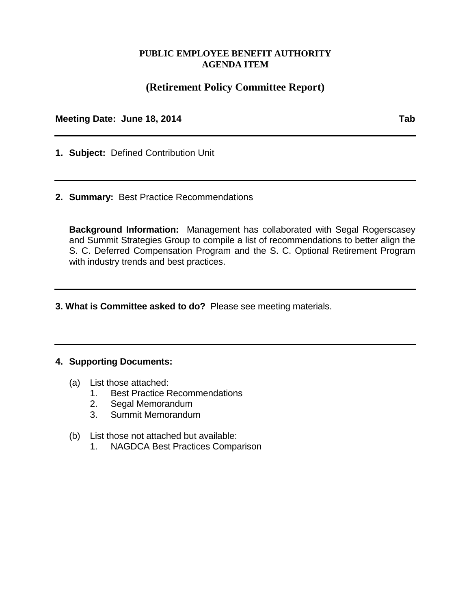# **PUBLIC EMPLOYEE BENEFIT AUTHORITY AGENDA ITEM**

# **(Retirement Policy Committee Report)**

**Meeting Date: June 18, 2014 Tab**

- **1. Subject:** Defined Contribution Unit
- **2. Summary:** Best Practice Recommendations

**Background Information:** Management has collaborated with Segal Rogerscasey and Summit Strategies Group to compile a list of recommendations to better align the S. C. Deferred Compensation Program and the S. C. Optional Retirement Program with industry trends and best practices.

**3. What is Committee asked to do?** Please see meeting materials.

## **4. Supporting Documents:**

- (a) List those attached:<br>1. Best Practice R
	- **Best Practice Recommendations**
	- 2. Segal Memorandum
	- 3. Summit Memorandum
- (b) List those not attached but available:
	- 1. NAGDCA Best Practices Comparison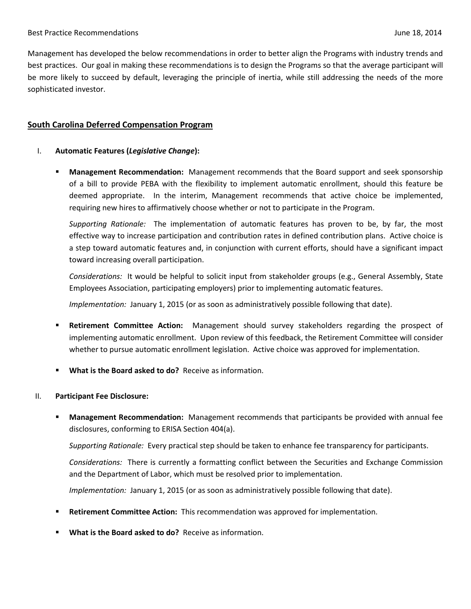Management has developed the below recommendations in order to better align the Programs with industry trends and best practices. Our goal in making these recommendations is to design the Programs so that the average participant will be more likely to succeed by default, leveraging the principle of inertia, while still addressing the needs of the more sophisticated investor.

# **South Carolina Deferred Compensation Program**

- I. **Automatic Features (***Legislative Change***):**
	- **Management Recommendation:** Management recommends that the Board support and seek sponsorship of a bill to provide PEBA with the flexibility to implement automatic enrollment, should this feature be deemed appropriate. In the interim, Management recommends that active choice be implemented, requiring new hires to affirmatively choose whether or not to participate in the Program.

*Supporting Rationale:* The implementation of automatic features has proven to be, by far, the most effective way to increase participation and contribution rates in defined contribution plans. Active choice is a step toward automatic features and, in conjunction with current efforts, should have a significant impact toward increasing overall participation.

*Considerations:* It would be helpful to solicit input from stakeholder groups (e.g., General Assembly, State Employees Association, participating employers) prior to implementing automatic features.

*Implementation:* January 1, 2015 (or as soon as administratively possible following that date).

- **Retirement Committee Action:** Management should survey stakeholders regarding the prospect of implementing automatic enrollment. Upon review of this feedback, the Retirement Committee will consider whether to pursue automatic enrollment legislation. Active choice was approved for implementation.
- **What is the Board asked to do?** Receive as information.

#### II. **Participant Fee Disclosure:**

 **Management Recommendation:** Management recommends that participants be provided with annual fee disclosures, conforming to ERISA Section 404(a).

*Supporting Rationale:* Every practical step should be taken to enhance fee transparency for participants.

*Considerations:* There is currently a formatting conflict between the Securities and Exchange Commission and the Department of Labor, which must be resolved prior to implementation.

*Implementation:* January 1, 2015 (or as soon as administratively possible following that date).

- **Retirement Committee Action:** This recommendation was approved for implementation.
- **What is the Board asked to do?** Receive as information.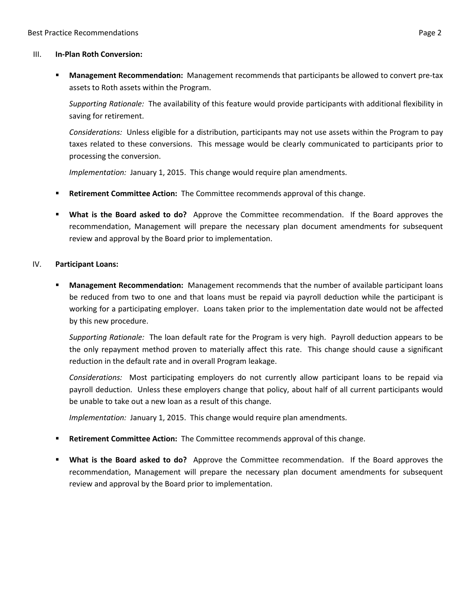#### III. **In-Plan Roth Conversion:**

 **Management Recommendation:** Management recommends that participants be allowed to convert pre-tax assets to Roth assets within the Program.

*Supporting Rationale:* The availability of this feature would provide participants with additional flexibility in saving for retirement.

*Considerations:* Unless eligible for a distribution, participants may not use assets within the Program to pay taxes related to these conversions. This message would be clearly communicated to participants prior to processing the conversion.

*Implementation:* January 1, 2015. This change would require plan amendments.

- **Retirement Committee Action:** The Committee recommends approval of this change.
- **What is the Board asked to do?** Approve the Committee recommendation. If the Board approves the recommendation, Management will prepare the necessary plan document amendments for subsequent review and approval by the Board prior to implementation.

#### IV. **Participant Loans:**

 **Management Recommendation:** Management recommends that the number of available participant loans be reduced from two to one and that loans must be repaid via payroll deduction while the participant is working for a participating employer. Loans taken prior to the implementation date would not be affected by this new procedure.

*Supporting Rationale:* The loan default rate for the Program is very high. Payroll deduction appears to be the only repayment method proven to materially affect this rate. This change should cause a significant reduction in the default rate and in overall Program leakage.

*Considerations:* Most participating employers do not currently allow participant loans to be repaid via payroll deduction. Unless these employers change that policy, about half of all current participants would be unable to take out a new loan as a result of this change.

*Implementation:* January 1, 2015. This change would require plan amendments.

- **Retirement Committee Action:** The Committee recommends approval of this change.
- **What is the Board asked to do?** Approve the Committee recommendation. If the Board approves the recommendation, Management will prepare the necessary plan document amendments for subsequent review and approval by the Board prior to implementation.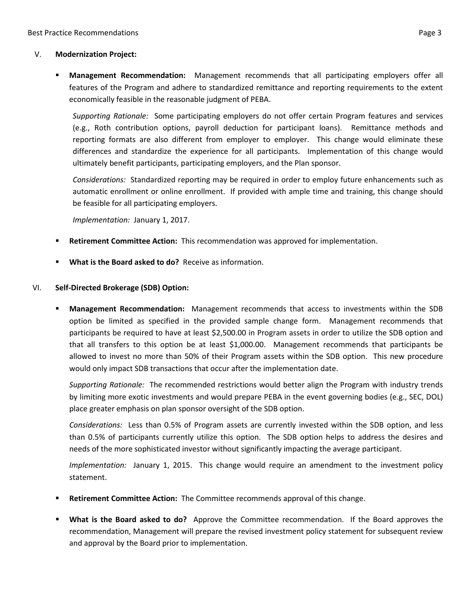#### V. **Modernization Project:**

 **Management Recommendation:** Management recommends that all participating employers offer all features of the Program and adhere to standardized remittance and reporting requirements to the extent economically feasible in the reasonable judgment of PEBA.

*Supporting Rationale:* Some participating employers do not offer certain Program features and services (e.g., Roth contribution options, payroll deduction for participant loans). Remittance methods and reporting formats are also different from employer to employer. This change would eliminate these differences and standardize the experience for all participants. Implementation of this change would ultimately benefit participants, participating employers, and the Plan sponsor.

*Considerations:* Standardized reporting may be required in order to employ future enhancements such as automatic enrollment or online enrollment. If provided with ample time and training, this change should be feasible for all participating employers.

*Implementation:* January 1, 2017.

- **Retirement Committee Action:** This recommendation was approved for implementation.
- **What is the Board asked to do?** Receive as information.

#### VI. **Self-Directed Brokerage (SDB) Option:**

 **Management Recommendation:** Management recommends that access to investments within the SDB option be limited as specified in the provided sample change form. Management recommends that participants be required to have at least \$2,500.00 in Program assets in order to utilize the SDB option and that all transfers to this option be at least \$1,000.00. Management recommends that participants be allowed to invest no more than 50% of their Program assets within the SDB option. This new procedure would only impact SDB transactions that occur after the implementation date.

*Supporting Rationale:* The recommended restrictions would better align the Program with industry trends by limiting more exotic investments and would prepare PEBA in the event governing bodies (e.g., SEC, DOL) place greater emphasis on plan sponsor oversight of the SDB option.

*Considerations:* Less than 0.5% of Program assets are currently invested within the SDB option, and less than 0.5% of participants currently utilize this option. The SDB option helps to address the desires and needs of the more sophisticated investor without significantly impacting the average participant.

*Implementation:* January 1, 2015. This change would require an amendment to the investment policy statement.

- **Retirement Committee Action:** The Committee recommends approval of this change.
- **What is the Board asked to do?** Approve the Committee recommendation. If the Board approves the recommendation, Management will prepare the revised investment policy statement for subsequent review and approval by the Board prior to implementation.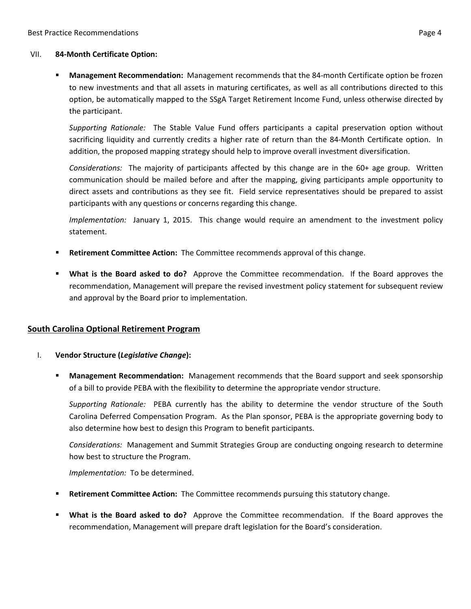#### VII. **84-Month Certificate Option:**

 **Management Recommendation:** Management recommends that the 84-month Certificate option be frozen to new investments and that all assets in maturing certificates, as well as all contributions directed to this option, be automatically mapped to the SSgA Target Retirement Income Fund, unless otherwise directed by the participant.

*Supporting Rationale:* The Stable Value Fund offers participants a capital preservation option without sacrificing liquidity and currently credits a higher rate of return than the 84-Month Certificate option. In addition, the proposed mapping strategy should help to improve overall investment diversification.

*Considerations:* The majority of participants affected by this change are in the 60+ age group. Written communication should be mailed before and after the mapping, giving participants ample opportunity to direct assets and contributions as they see fit. Field service representatives should be prepared to assist participants with any questions or concerns regarding this change.

*Implementation:* January 1, 2015. This change would require an amendment to the investment policy statement.

- **Retirement Committee Action:** The Committee recommends approval of this change.
- **What is the Board asked to do?** Approve the Committee recommendation. If the Board approves the recommendation, Management will prepare the revised investment policy statement for subsequent review and approval by the Board prior to implementation.

#### **South Carolina Optional Retirement Program**

- I. **Vendor Structure (***Legislative Change***):**
	- **Management Recommendation:** Management recommends that the Board support and seek sponsorship of a bill to provide PEBA with the flexibility to determine the appropriate vendor structure.

*Supporting Rationale:* PEBA currently has the ability to determine the vendor structure of the South Carolina Deferred Compensation Program. As the Plan sponsor, PEBA is the appropriate governing body to also determine how best to design this Program to benefit participants.

*Considerations:* Management and Summit Strategies Group are conducting ongoing research to determine how best to structure the Program.

*Implementation:* To be determined.

- **Retirement Committee Action:** The Committee recommends pursuing this statutory change.
- **What is the Board asked to do?** Approve the Committee recommendation. If the Board approves the recommendation, Management will prepare draft legislation for the Board's consideration.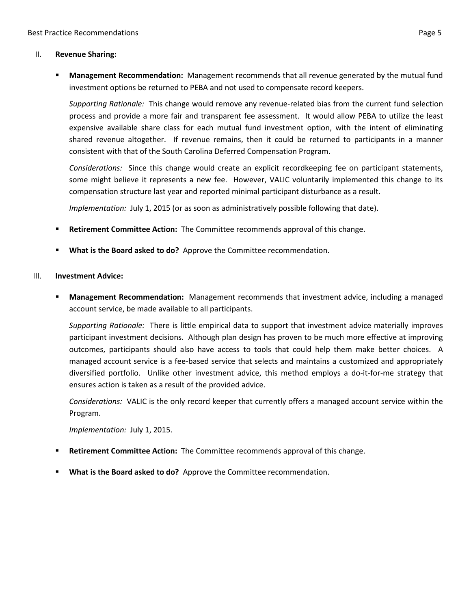#### II. **Revenue Sharing:**

 **Management Recommendation:** Management recommends that all revenue generated by the mutual fund investment options be returned to PEBA and not used to compensate record keepers.

*Supporting Rationale:* This change would remove any revenue-related bias from the current fund selection process and provide a more fair and transparent fee assessment. It would allow PEBA to utilize the least expensive available share class for each mutual fund investment option, with the intent of eliminating shared revenue altogether. If revenue remains, then it could be returned to participants in a manner consistent with that of the South Carolina Deferred Compensation Program.

*Considerations:* Since this change would create an explicit recordkeeping fee on participant statements, some might believe it represents a new fee. However, VALIC voluntarily implemented this change to its compensation structure last year and reported minimal participant disturbance as a result.

*Implementation:* July 1, 2015 (or as soon as administratively possible following that date).

- **Retirement Committee Action:** The Committee recommends approval of this change.
- **What is the Board asked to do?** Approve the Committee recommendation.

#### III. **Investment Advice:**

 **Management Recommendation:** Management recommends that investment advice, including a managed account service, be made available to all participants.

*Supporting Rationale:* There is little empirical data to support that investment advice materially improves participant investment decisions. Although plan design has proven to be much more effective at improving outcomes, participants should also have access to tools that could help them make better choices. A managed account service is a fee-based service that selects and maintains a customized and appropriately diversified portfolio. Unlike other investment advice, this method employs a do-it-for-me strategy that ensures action is taken as a result of the provided advice.

*Considerations:* VALIC is the only record keeper that currently offers a managed account service within the Program.

*Implementation:* July 1, 2015.

- **Retirement Committee Action:** The Committee recommends approval of this change.
- **What is the Board asked to do?** Approve the Committee recommendation.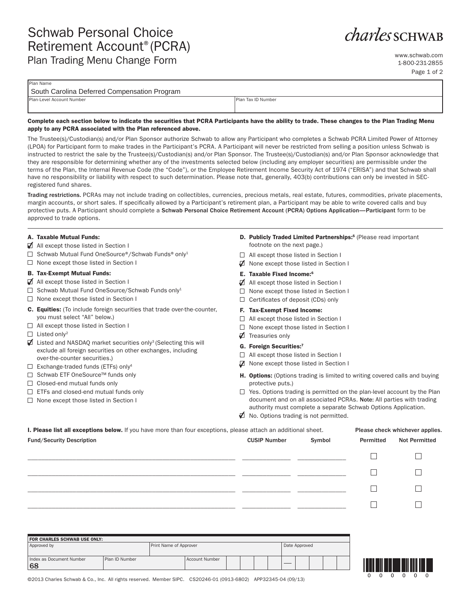# *charles* SCHWAB

www.schwab.com 1-800-231-2855 Page 1 of 2

| South Carolina Deferred Compensation Program |                            |  |  |  |  |
|----------------------------------------------|----------------------------|--|--|--|--|
| Plan-Level Account Number                    | <b>IPlan Tax ID Number</b> |  |  |  |  |

#### **Complete each section below to indicate the securities that PCRA Participants have the ability to trade. These changes to the Plan Trading Menu apply to any PCRA associated with the Plan referenced above.**

The Trustee(s)/Custodian(s) and/or Plan Sponsor authorize Schwab to allow any Participant who completes a Schwab PCRA Limited Power of Attorney (LPOA) for Participant form to make trades in the Participant's PCRA. A Participant will never be restricted from selling a position unless Schwab is instructed to restrict the sale by the Trustee(s)/Custodian(s) and/or Plan Sponsor. The Trustee(s)/Custodian(s) and/or Plan Sponsor acknowledge that they are responsible for determining whether any of the investments selected below (including any employer securities) are permissible under the terms of the Plan, the Internal Revenue Code (the "Code"), or the Employee Retirement Income Security Act of 1974 ("ERISA") and that Schwab shall have no responsibility or liability with respect to such determination. Please note that, generally, 403(b) contributions can only be invested in SECregistered fund shares.

Trading restrictions. PCRAs may not include trading on collectibles, currencies, precious metals, real estate, futures, commodities, private placements, margin accounts, or short sales. If specifically allowed by a Participant's retirement plan, a Participant may be able to write covered calls and buy protective puts. A Participant should complete a Schwab Personal Choice Retirement Account (PCRA) Options Application—Participant form to be approved to trade options.

#### **A. Taxable Mutual Funds:**

Plan Name

- $\blacktriangleright$  All except those listed in Section I
- $\Box$  Schwab Mutual Fund OneSource®/Schwab Funds® only<sup>1</sup>
- $\Box$  None except those listed in Section I

#### **B. Tax-Exempt Mutual Funds:**

- All except those listed in Section I
- $\Box$  Schwab Mutual Fund OneSource/Schwab Funds only<sup>1</sup>
- $\Box$  None except those listed in Section I
- **C. Equities:** (To include foreign securities that trade over-the-counter, you must select "All" below.)
- □ All except those listed in Section I
- $\Box$  Listed only<sup>2</sup>
- $\blacktriangledown$  Listed and NASDAQ market securities only<sup>3</sup> (Selecting this will exclude all foreign securities on other exchanges, including over-the-counter securities.)
- $\Box$  Exchange-traded funds (ETFs) only<sup>4</sup>
- □ Schwab ETF OneSource™ funds only
- $\Box$  Closed-end mutual funds only
- $\Box$  ETFs and closed-end mutual funds only
- $\Box$  None except those listed in Section I
- **D. Publicly Traded Limited Partnerships:5** (Please read important footnote on the next page.)
- □ All except those listed in Section I
- ◯ None except those listed in Section I

#### **E. Taxable Fixed Income:6**

- All except those listed in Section I
- □ None except those listed in Section I
- $\Box$  Certificates of deposit (CDs) only

#### **F. Tax-Exempt Fixed Income:**

- □ All except those listed in Section I
- $\Box$  None except those listed in Section I
- **Ø** Treasuries only

#### **G. Foreign Securities:7**

- □ All except those listed in Section I
- None except those listed in Section I
- **H. Options:** (Options trading is limited to writing covered calls and buying protective puts.)
- $\Box$  Yes. Options trading is permitted on the plan-level account by the Plan document and on all associated PCRAs. Note: All parties with trading authority must complete a separate Schwab Options Application.
- No. Options trading is not permitted.

| I. Please list all exceptions below. If you have more than four exceptions, please attach an additional sheet. |                               |  | Please check whichever applies. |                      |  |
|----------------------------------------------------------------------------------------------------------------|-------------------------------|--|---------------------------------|----------------------|--|
| <b>Fund/Security Description</b>                                                                               | Symbol<br><b>CUSIP Number</b> |  | Permitted                       | <b>Not Permitted</b> |  |
|                                                                                                                |                               |  |                                 |                      |  |
|                                                                                                                |                               |  |                                 |                      |  |
|                                                                                                                |                               |  |                                 |                      |  |
|                                                                                                                |                               |  |                                 |                      |  |
|                                                                                                                |                               |  |                                 |                      |  |

| <b>FOR CHARLES SCHWAB USE ONLY:</b>              |                        |  |                |  |  |               |  |  |  |  |  |  |
|--------------------------------------------------|------------------------|--|----------------|--|--|---------------|--|--|--|--|--|--|
| Approved by                                      | Print Name of Approver |  |                |  |  | Date Approved |  |  |  |  |  |  |
| Index as Document Number<br>Plan ID Number<br>68 |                        |  | Account Number |  |  |               |  |  |  |  |  |  |



©2013 Charles Schwab & Co., Inc. All rights reserved. Member SIPC. CS20246-01 (0913-6802) APP32345-04 (09/13)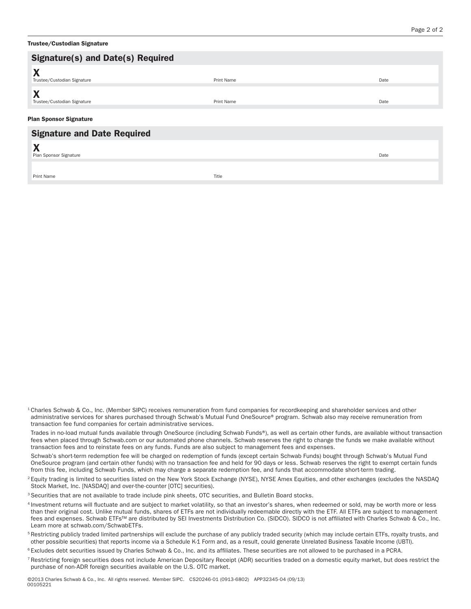| Trustee/Custodian Signature |  |
|-----------------------------|--|
|-----------------------------|--|

| <b>Signature(s) and Date(s) Required</b>         |            |      |
|--------------------------------------------------|------------|------|
| X<br>Trustee/Custodian Signature                 | Print Name | Date |
| $\mathbf{v}$<br>л<br>Trustee/Custodian Signature | Print Name | Date |
| <b>Plan Sponsor Signature</b>                    |            |      |
| <b>Signature and Date Required</b>               |            |      |
| X<br>Plan Sponsor Signature                      |            | Date |
| Print Name                                       | Title      |      |

<sup>1</sup> Charles Schwab & Co., Inc. (Member SIPC) receives remuneration from fund companies for recordkeeping and shareholder services and other administrative services for shares purchased through Schwab's Mutual Fund OneSource® program. Schwab also may receive remuneration from transaction fee fund companies for certain administrative services.

 Trades in no-load mutual funds available through OneSource (including Schwab Funds®), as well as certain other funds, are available without transaction fees when placed through Schwab.com or our automated phone channels. Schwab reserves the right to change the funds we make available without transaction fees and to reinstate fees on any funds. Funds are also subject to management fees and expenses.

 Schwab's short-term redemption fee will be charged on redemption of funds (except certain Schwab Funds) bought through Schwab's Mutual Fund OneSource program (and certain other funds) with no transaction fee and held for 90 days or less. Schwab reserves the right to exempt certain funds from this fee, including Schwab Funds, which may charge a separate redemption fee, and funds that accommodate short-term trading.

- <sup>2</sup> Equity trading is limited to securities listed on the New York Stock Exchange (NYSE), NYSE Amex Equities, and other exchanges (excludes the NASDAQ Stock Market, Inc. [NASDAQ] and over-the-counter [OTC] securities).
- 3 Securities that are not available to trade include pink sheets, OTC securities, and Bulletin Board stocks.
- 4 Investment returns will fluctuate and are subject to market volatility, so that an investor's shares, when redeemed or sold, may be worth more or less than their original cost. Unlike mutual funds, shares of ETFs are not individually redeemable directly with the ETF. All ETFs are subject to management fees and expenses. Schwab ETFs™ are distributed by SEI Investments Distribution Co. (SIDCO). SIDCO is not affiliated with Charles Schwab & Co., Inc. Learn more at schwab.com/SchwabETFs.
- <sup>5</sup> Restricting publicly traded limited partnerships will exclude the purchase of any publicly traded security (which may include certain ETFs, royalty trusts, and other possible securities) that reports income via a Schedule K-1 Form and, as a result, could generate Unrelated Business Taxable Income (UBTI).
- <sup>6</sup> Excludes debt securities issued by Charles Schwab & Co., Inc. and its affiliates. These securities are not allowed to be purchased in a PCRA.
- <sup>7</sup> Restricting foreign securities does not include American Depositary Receipt (ADR) securities traded on a domestic equity market, but does restrict the purchase of non-ADR foreign securities available on the U.S. OTC market.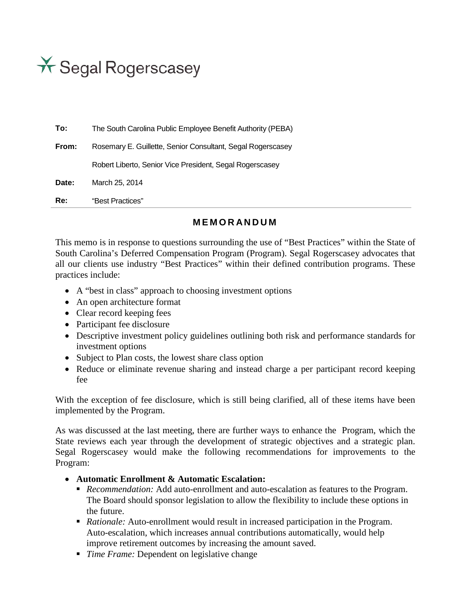\* Segal Rogerscasey

| To:   | The South Carolina Public Employee Benefit Authority (PEBA) |
|-------|-------------------------------------------------------------|
| From: | Rosemary E. Guillette, Senior Consultant, Segal Rogerscasey |
|       | Robert Liberto, Senior Vice President, Segal Rogerscasey    |
| Date: | March 25, 2014                                              |
| Re:   | "Best Practices"                                            |

# **MEMORANDUM**

This memo is in response to questions surrounding the use of "Best Practices" within the State of South Carolina's Deferred Compensation Program (Program). Segal Rogerscasey advocates that all our clients use industry "Best Practices" within their defined contribution programs. These practices include:

- A "best in class" approach to choosing investment options
- An open architecture format
- Clear record keeping fees
- Participant fee disclosure
- Descriptive investment policy guidelines outlining both risk and performance standards for investment options
- Subject to Plan costs, the lowest share class option
- Reduce or eliminate revenue sharing and instead charge a per participant record keeping fee

With the exception of fee disclosure, which is still being clarified, all of these items have been implemented by the Program.

As was discussed at the last meeting, there are further ways to enhance the Program, which the State reviews each year through the development of strategic objectives and a strategic plan. Segal Rogerscasey would make the following recommendations for improvements to the Program:

- **Automatic Enrollment & Automatic Escalation:**
	- *Recommendation:* Add auto-enrollment and auto-escalation as features to the Program. The Board should sponsor legislation to allow the flexibility to include these options in the future.
	- *Rationale:* Auto-enrollment would result in increased participation in the Program. Auto-escalation, which increases annual contributions automatically, would help improve retirement outcomes by increasing the amount saved.
	- *Time Frame:* Dependent on legislative change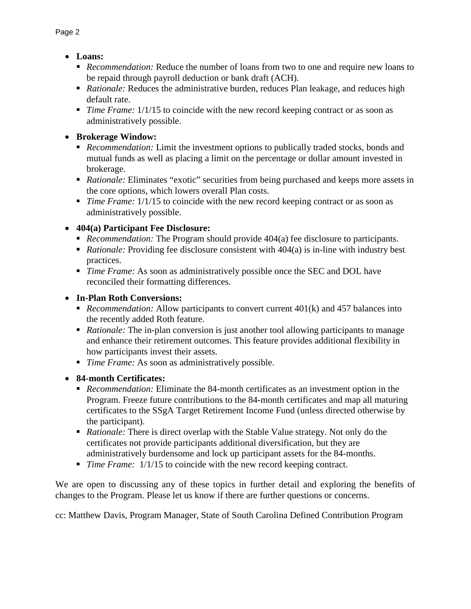- **Loans:** 
	- *Recommendation:* Reduce the number of loans from two to one and require new loans to be repaid through payroll deduction or bank draft (ACH).
	- **Rationale:** Reduces the administrative burden, reduces Plan leakage, and reduces high default rate.
	- *Time Frame:* 1/1/15 to coincide with the new record keeping contract or as soon as administratively possible.

• **Brokerage Window:** 

- *Recommendation:* Limit the investment options to publically traded stocks, bonds and mutual funds as well as placing a limit on the percentage or dollar amount invested in brokerage.
- *Rationale:* Eliminates "exotic" securities from being purchased and keeps more assets in the core options, which lowers overall Plan costs.
- *Time Frame:* 1/1/15 to coincide with the new record keeping contract or as soon as administratively possible.

# • **404(a) Participant Fee Disclosure:**

- *Recommendation:* The Program should provide 404(a) fee disclosure to participants.
- *Rationale:* Providing fee disclosure consistent with 404(a) is in-line with industry best practices.
- *Time Frame:* As soon as administratively possible once the SEC and DOL have reconciled their formatting differences.

# • **In-Plan Roth Conversions:**

- *Recommendation:* Allow participants to convert current 401(k) and 457 balances into the recently added Roth feature.
- **Rationale:** The in-plan conversion is just another tool allowing participants to manage and enhance their retirement outcomes. This feature provides additional flexibility in how participants invest their assets.
- *Time Frame:* As soon as administratively possible.
- **84-month Certificates:**
	- *Recommendation:* Eliminate the 84-month certificates as an investment option in the Program. Freeze future contributions to the 84-month certificates and map all maturing certificates to the SSgA Target Retirement Income Fund (unless directed otherwise by the participant).
	- *Rationale:* There is direct overlap with the Stable Value strategy. Not only do the certificates not provide participants additional diversification, but they are administratively burdensome and lock up participant assets for the 84-months.
	- *Time Frame:* 1/1/15 to coincide with the new record keeping contract.

We are open to discussing any of these topics in further detail and exploring the benefits of changes to the Program. Please let us know if there are further questions or concerns.

cc: Matthew Davis, Program Manager, State of South Carolina Defined Contribution Program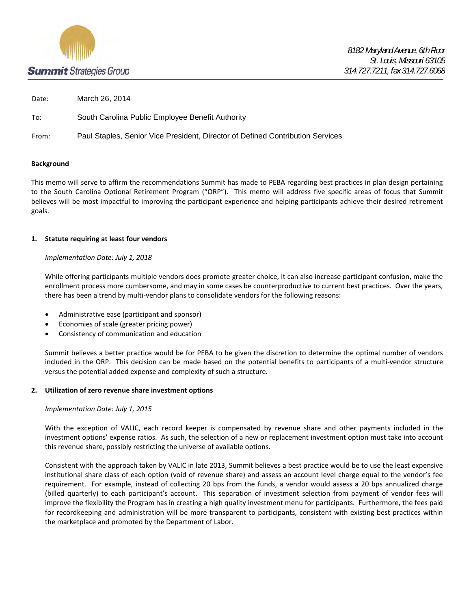

Date: March 26, 2014

To: South Carolina Public Employee Benefit Authority

From: Paul Staples, Senior Vice President, Director of Defined Contribution Services

#### **Background**

This memo will serve to affirm the recommendations Summit has made to PEBA regarding best practices in plan design pertaining to the South Carolina Optional Retirement Program ("ORP"). This memo will address five specific areas of focus that Summit believes will be most impactful to improving the participant experience and helping participants achieve their desired retirement goals.

#### **1. Statute requiring at least four vendors**

#### *Implementation Date: July 1, 2018*

While offering participants multiple vendors does promote greater choice, it can also increase participant confusion, make the enrollment process more cumbersome, and may in some cases be counterproductive to current best practices. Over the years, there has been a trend by multi-vendor plans to consolidate vendors for the following reasons:

- Administrative ease (participant and sponsor)
- Economies of scale (greater pricing power)
- Consistency of communication and education

Summit believes a better practice would be for PEBA to be given the discretion to determine the optimal number of vendors included in the ORP. This decision can be made based on the potential benefits to participants of a multi-vendor structure versus the potential added expense and complexity of such a structure.

#### **2. Utilization of zero revenue share investment options**

#### *Implementation Date: July 1, 2015*

With the exception of VALIC, each record keeper is compensated by revenue share and other payments included in the investment options' expense ratios. As such, the selection of a new or replacement investment option must take into account this revenue share, possibly restricting the universe of available options.

Consistent with the approach taken by VALIC in late 2013, Summit believes a best practice would be to use the least expensive institutional share class of each option (void of revenue share) and assess an account level charge equal to the vendor's fee requirement. For example, instead of collecting 20 bps from the funds, a vendor would assess a 20 bps annualized charge (billed quarterly) to each participant's account. This separation of investment selection from payment of vendor fees will improve the flexibility the Program has in creating a high quality investment menu for participants. Furthermore, the fees paid for recordkeeping and administration will be more transparent to participants, consistent with existing best practices within the marketplace and promoted by the Department of Labor.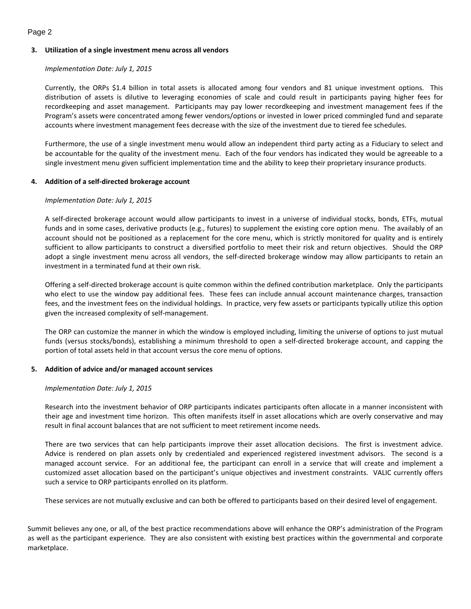#### Page 2

#### **3. Utilization of a single investment menu across all vendors**

#### *Implementation Date: July 1, 2015*

Currently, the ORPs \$1.4 billion in total assets is allocated among four vendors and 81 unique investment options. This distribution of assets is dilutive to leveraging economies of scale and could result in participants paying higher fees for recordkeeping and asset management. Participants may pay lower recordkeeping and investment management fees if the Program's assets were concentrated among fewer vendors/options or invested in lower priced commingled fund and separate accounts where investment management fees decrease with the size of the investment due to tiered fee schedules.

Furthermore, the use of a single investment menu would allow an independent third party acting as a Fiduciary to select and be accountable for the quality of the investment menu. Each of the four vendors has indicated they would be agreeable to a single investment menu given sufficient implementation time and the ability to keep their proprietary insurance products.

#### **4. Addition of a self-directed brokerage account**

#### *Implementation Date: July 1, 2015*

A self-directed brokerage account would allow participants to invest in a universe of individual stocks, bonds, ETFs, mutual funds and in some cases, derivative products (e.g., futures) to supplement the existing core option menu. The availably of an account should not be positioned as a replacement for the core menu, which is strictly monitored for quality and is entirely sufficient to allow participants to construct a diversified portfolio to meet their risk and return objectives. Should the ORP adopt a single investment menu across all vendors, the self-directed brokerage window may allow participants to retain an investment in a terminated fund at their own risk.

Offering a self-directed brokerage account is quite common within the defined contribution marketplace. Only the participants who elect to use the window pay additional fees. These fees can include annual account maintenance charges, transaction fees, and the investment fees on the individual holdings. In practice, very few assets or participants typically utilize this option given the increased complexity of self-management.

The ORP can customize the manner in which the window is employed including, limiting the universe of options to just mutual funds (versus stocks/bonds), establishing a minimum threshold to open a self-directed brokerage account, and capping the portion of total assets held in that account versus the core menu of options.

#### **5. Addition of advice and/or managed account services**

#### *Implementation Date: July 1, 2015*

Research into the investment behavior of ORP participants indicates participants often allocate in a manner inconsistent with their age and investment time horizon. This often manifests itself in asset allocations which are overly conservative and may result in final account balances that are not sufficient to meet retirement income needs.

There are two services that can help participants improve their asset allocation decisions. The first is investment advice. Advice is rendered on plan assets only by credentialed and experienced registered investment advisors. The second is a managed account service. For an additional fee, the participant can enroll in a service that will create and implement a customized asset allocation based on the participant's unique objectives and investment constraints. VALIC currently offers such a service to ORP participants enrolled on its platform.

These services are not mutually exclusive and can both be offered to participants based on their desired level of engagement.

Summit believes any one, or all, of the best practice recommendations above will enhance the ORP's administration of the Program as well as the participant experience. They are also consistent with existing best practices within the governmental and corporate marketplace.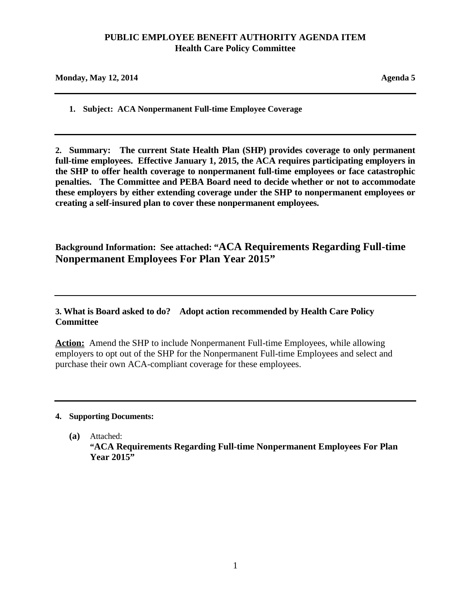# **PUBLIC EMPLOYEE BENEFIT AUTHORITY AGENDA ITEM Health Care Policy Committee**

| <b>Monday, May 12, 2014</b> | Agenda 5 |
|-----------------------------|----------|
|                             |          |

**1. Subject: ACA Nonpermanent Full-time Employee Coverage**

**2. Summary: The current State Health Plan (SHP) provides coverage to only permanent full-time employees. Effective January 1, 2015, the ACA requires participating employers in the SHP to offer health coverage to nonpermanent full-time employees or face catastrophic penalties. The Committee and PEBA Board need to decide whether or not to accommodate these employers by either extending coverage under the SHP to nonpermanent employees or creating a self-insured plan to cover these nonpermanent employees.**

**Background Information: See attached: "ACA Requirements Regarding Full-time Nonpermanent Employees For Plan Year 2015"** 

**3. What is Board asked to do? Adopt action recommended by Health Care Policy Committee**

**Action:** Amend the SHP to include Nonpermanent Full-time Employees, while allowing employers to opt out of the SHP for the Nonpermanent Full-time Employees and select and purchase their own ACA-compliant coverage for these employees.

## **4. Supporting Documents:**

**(a)** Attached: **"ACA Requirements Regarding Full-time Nonpermanent Employees For Plan Year 2015"**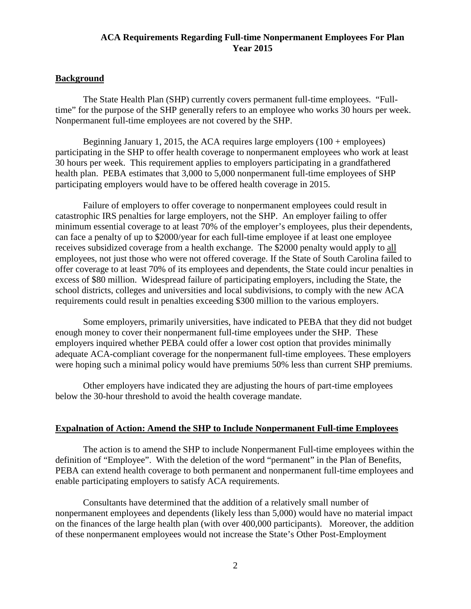# **ACA Requirements Regarding Full-time Nonpermanent Employees For Plan Year 2015**

# **Background**

The State Health Plan (SHP) currently covers permanent full-time employees. "Fulltime" for the purpose of the SHP generally refers to an employee who works 30 hours per week. Nonpermanent full-time employees are not covered by the SHP.

Beginning January 1, 2015, the ACA requires large employers  $(100 + \text{employee})$ participating in the SHP to offer health coverage to nonpermanent employees who work at least 30 hours per week. This requirement applies to employers participating in a grandfathered health plan. PEBA estimates that 3,000 to 5,000 nonpermanent full-time employees of SHP participating employers would have to be offered health coverage in 2015.

Failure of employers to offer coverage to nonpermanent employees could result in catastrophic IRS penalties for large employers, not the SHP. An employer failing to offer minimum essential coverage to at least 70% of the employer's employees, plus their dependents, can face a penalty of up to \$2000/year for each full-time employee if at least one employee receives subsidized coverage from a health exchange. The \$2000 penalty would apply to all employees, not just those who were not offered coverage. If the State of South Carolina failed to offer coverage to at least 70% of its employees and dependents, the State could incur penalties in excess of \$80 million. Widespread failure of participating employers, including the State, the school districts, colleges and universities and local subdivisions, to comply with the new ACA requirements could result in penalties exceeding \$300 million to the various employers.

Some employers, primarily universities, have indicated to PEBA that they did not budget enough money to cover their nonpermanent full-time employees under the SHP. These employers inquired whether PEBA could offer a lower cost option that provides minimally adequate ACA-compliant coverage for the nonpermanent full-time employees. These employers were hoping such a minimal policy would have premiums 50% less than current SHP premiums.

Other employers have indicated they are adjusting the hours of part-time employees below the 30-hour threshold to avoid the health coverage mandate.

## **Expalnation of Action: Amend the SHP to Include Nonpermanent Full-time Employees**

The action is to amend the SHP to include Nonpermanent Full-time employees within the definition of "Employee". With the deletion of the word "permanent" in the Plan of Benefits, PEBA can extend health coverage to both permanent and nonpermanent full-time employees and enable participating employers to satisfy ACA requirements.

Consultants have determined that the addition of a relatively small number of nonpermanent employees and dependents (likely less than 5,000) would have no material impact on the finances of the large health plan (with over 400,000 participants). Moreover, the addition of these nonpermanent employees would not increase the State's Other Post-Employment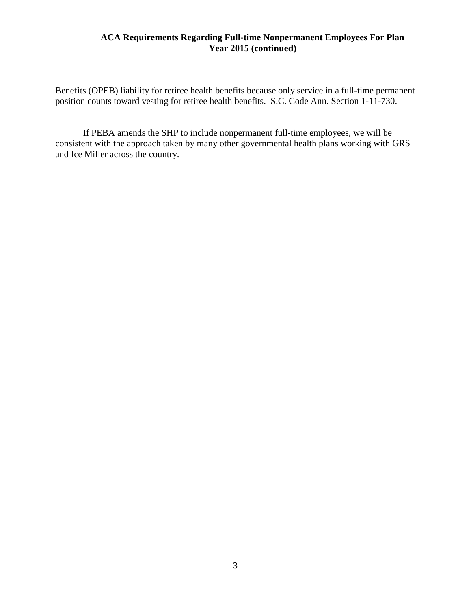# **ACA Requirements Regarding Full-time Nonpermanent Employees For Plan Year 2015 (continued)**

Benefits (OPEB) liability for retiree health benefits because only service in a full-time permanent position counts toward vesting for retiree health benefits. S.C. Code Ann. Section 1-11-730.

If PEBA amends the SHP to include nonpermanent full-time employees, we will be consistent with the approach taken by many other governmental health plans working with GRS and Ice Miller across the country.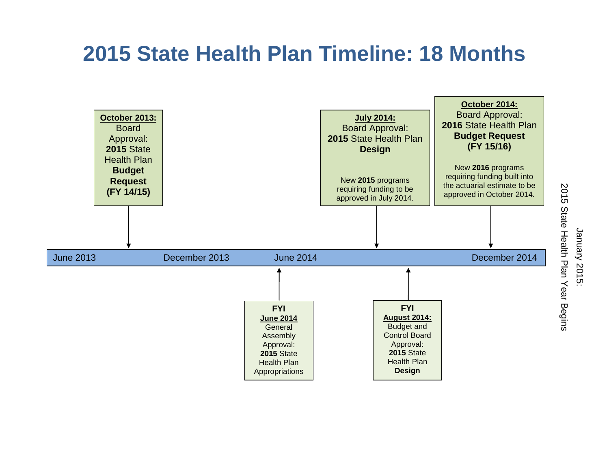# **2015 State Health Plan Timeline: 18 Months**

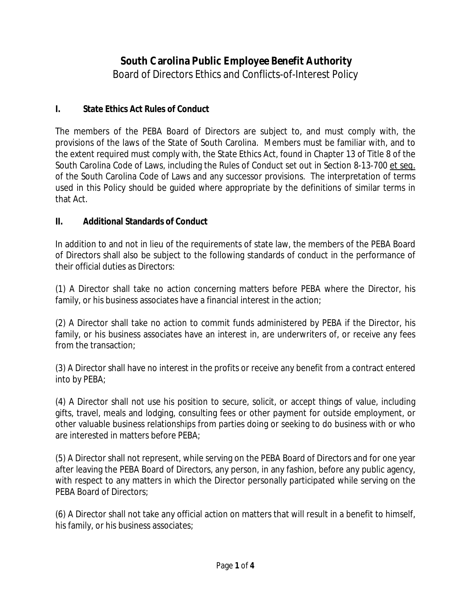# **South Carolina Public Employee Benefit Authority**

Board of Directors Ethics and Conflicts-of-Interest Policy

# **I. State Ethics Act Rules of Conduct**

The members of the PEBA Board of Directors are subject to, and must comply with, the provisions of the laws of the State of South Carolina. Members must be familiar with, and to the extent required must comply with, the State Ethics Act, found in Chapter 13 of Title 8 of the South Carolina Code of Laws, including the Rules of Conduct set out in Section 8-13-700 et seq. of the South Carolina Code of Laws and any successor provisions. The interpretation of terms used in this Policy should be guided where appropriate by the definitions of similar terms in that Act.

# **II. Additional Standards of Conduct**

In addition to and not in lieu of the requirements of state law, the members of the PEBA Board of Directors shall also be subject to the following standards of conduct in the performance of their official duties as Directors:

(1) A Director shall take no action concerning matters before PEBA where the Director, his family, or his business associates have a financial interest in the action;

(2) A Director shall take no action to commit funds administered by PEBA if the Director, his family, or his business associates have an interest in, are underwriters of, or receive any fees from the transaction;

(3) A Director shall have no interest in the profits or receive any benefit from a contract entered into by PEBA;

(4) A Director shall not use his position to secure, solicit, or accept things of value, including gifts, travel, meals and lodging, consulting fees or other payment for outside employment, or other valuable business relationships from parties doing or seeking to do business with or who are interested in matters before PEBA;

(5) A Director shall not represent, while serving on the PEBA Board of Directors and for one year after leaving the PEBA Board of Directors, any person, in any fashion, before any public agency, with respect to any matters in which the Director personally participated while serving on the PEBA Board of Directors;

(6) A Director shall not take any official action on matters that will result in a benefit to himself, his family, or his business associates;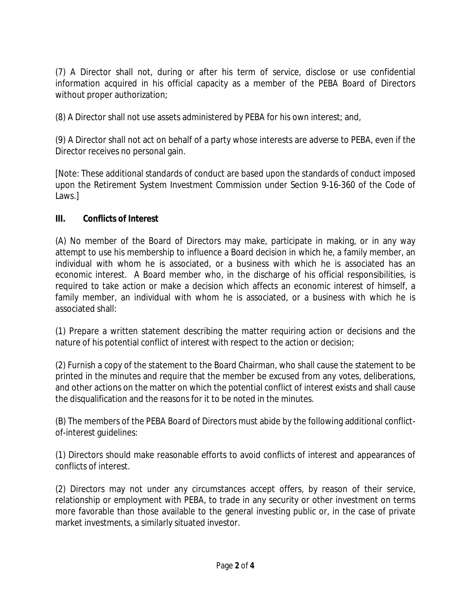(7) A Director shall not, during or after his term of service, disclose or use confidential information acquired in his official capacity as a member of the PEBA Board of Directors without proper authorization;

(8) A Director shall not use assets administered by PEBA for his own interest; and,

(9) A Director shall not act on behalf of a party whose interests are adverse to PEBA, even if the Director receives no personal gain.

[Note: These additional standards of conduct are based upon the standards of conduct imposed upon the Retirement System Investment Commission under Section 9-16-360 of the Code of Laws.]

# **III. Conflicts of Interest**

(A) No member of the Board of Directors may make, participate in making, or in any way attempt to use his membership to influence a Board decision in which he, a family member, an individual with whom he is associated, or a business with which he is associated has an economic interest. A Board member who, in the discharge of his official responsibilities, is required to take action or make a decision which affects an economic interest of himself, a family member, an individual with whom he is associated, or a business with which he is associated shall:

(1) Prepare a written statement describing the matter requiring action or decisions and the nature of his potential conflict of interest with respect to the action or decision;

(2) Furnish a copy of the statement to the Board Chairman, who shall cause the statement to be printed in the minutes and require that the member be excused from any votes, deliberations, and other actions on the matter on which the potential conflict of interest exists and shall cause the disqualification and the reasons for it to be noted in the minutes.

(B) The members of the PEBA Board of Directors must abide by the following additional conflictof-interest guidelines:

(1) Directors should make reasonable efforts to avoid conflicts of interest and appearances of conflicts of interest.

(2) Directors may not under any circumstances accept offers, by reason of their service, relationship or employment with PEBA, to trade in any security or other investment on terms more favorable than those available to the general investing public or, in the case of private market investments, a similarly situated investor.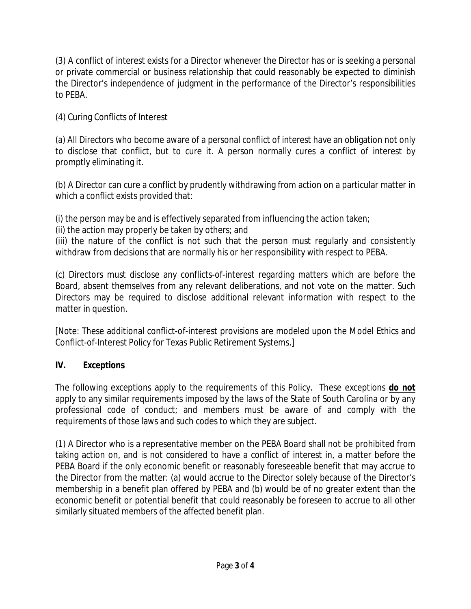(3) A conflict of interest exists for a Director whenever the Director has or is seeking a personal or private commercial or business relationship that could reasonably be expected to diminish the Director's independence of judgment in the performance of the Director's responsibilities to PEBA.

(4) Curing Conflicts of Interest

(a) All Directors who become aware of a personal conflict of interest have an obligation not only to disclose that conflict, but to cure it. A person normally cures a conflict of interest by promptly eliminating it.

(b) A Director can cure a conflict by prudently withdrawing from action on a particular matter in which a conflict exists provided that:

(i) the person may be and is effectively separated from influencing the action taken;

(ii) the action may properly be taken by others; and

(iii) the nature of the conflict is not such that the person must regularly and consistently withdraw from decisions that are normally his or her responsibility with respect to PEBA.

(c) Directors must disclose any conflicts-of-interest regarding matters which are before the Board, absent themselves from any relevant deliberations, and not vote on the matter. Such Directors may be required to disclose additional relevant information with respect to the matter in question.

[Note: These additional conflict-of-interest provisions are modeled upon the Model Ethics and Conflict-of-Interest Policy for Texas Public Retirement Systems.]

# **IV. Exceptions**

The following exceptions apply to the requirements of this Policy. These exceptions **do not** apply to any similar requirements imposed by the laws of the State of South Carolina or by any professional code of conduct; and members must be aware of and comply with the requirements of those laws and such codes to which they are subject.

(1) A Director who is a representative member on the PEBA Board shall not be prohibited from taking action on, and is not considered to have a conflict of interest in, a matter before the PEBA Board if the only economic benefit or reasonably foreseeable benefit that may accrue to the Director from the matter: (a) would accrue to the Director solely because of the Director's membership in a benefit plan offered by PEBA and (b) would be of no greater extent than the economic benefit or potential benefit that could reasonably be foreseen to accrue to all other similarly situated members of the affected benefit plan.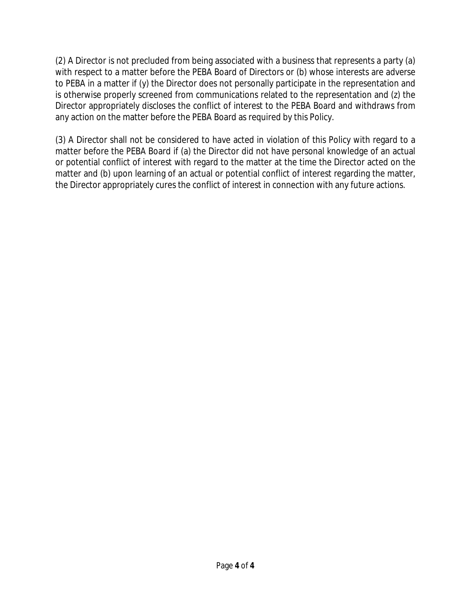(2) A Director is not precluded from being associated with a business that represents a party (a) with respect to a matter before the PEBA Board of Directors or (b) whose interests are adverse to PEBA in a matter if (y) the Director does not personally participate in the representation and is otherwise properly screened from communications related to the representation and (z) the Director appropriately discloses the conflict of interest to the PEBA Board and withdraws from any action on the matter before the PEBA Board as required by this Policy.

(3) A Director shall not be considered to have acted in violation of this Policy with regard to a matter before the PEBA Board if (a) the Director did not have personal knowledge of an actual or potential conflict of interest with regard to the matter at the time the Director acted on the matter and (b) upon learning of an actual or potential conflict of interest regarding the matter, the Director appropriately cures the conflict of interest in connection with any future actions.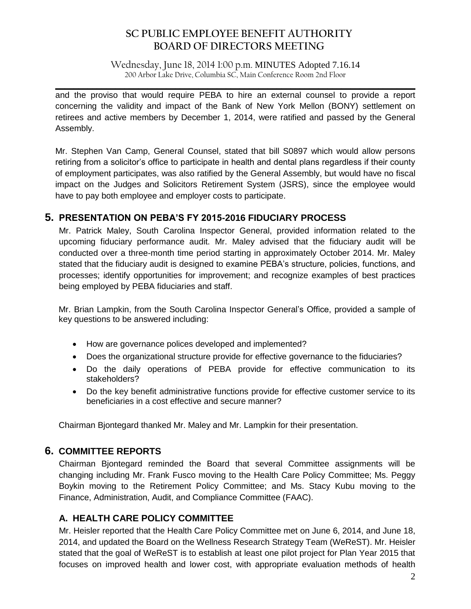Wednesday, June 18, 2014 1:00 p.m. MINUTES Adopted 7.16.14 200 Arbor Lake Drive, Columbia SC, Main Conference Room 2nd Floor

 $\mathcal{L}_\mathcal{L} = \mathcal{L}_\mathcal{L} = \mathcal{L}_\mathcal{L} = \mathcal{L}_\mathcal{L} = \mathcal{L}_\mathcal{L} = \mathcal{L}_\mathcal{L} = \mathcal{L}_\mathcal{L} = \mathcal{L}_\mathcal{L} = \mathcal{L}_\mathcal{L} = \mathcal{L}_\mathcal{L} = \mathcal{L}_\mathcal{L} = \mathcal{L}_\mathcal{L} = \mathcal{L}_\mathcal{L} = \mathcal{L}_\mathcal{L} = \mathcal{L}_\mathcal{L} = \mathcal{L}_\mathcal{L} = \mathcal{L}_\mathcal{L}$ 

and the proviso that would require PEBA to hire an external counsel to provide a report concerning the validity and impact of the Bank of New York Mellon (BONY) settlement on retirees and active members by December 1, 2014, were ratified and passed by the General Assembly.

Mr. Stephen Van Camp, General Counsel, stated that bill S0897 which would allow persons retiring from a solicitor's office to participate in health and dental plans regardless if their county of employment participates, was also ratified by the General Assembly, but would have no fiscal impact on the Judges and Solicitors Retirement System (JSRS), since the employee would have to pay both employee and employer costs to participate.

# **5. PRESENTATION ON PEBA'S FY 2015-2016 FIDUCIARY PROCESS**

Mr. Patrick Maley, South Carolina Inspector General, provided information related to the upcoming fiduciary performance audit. Mr. Maley advised that the fiduciary audit will be conducted over a three-month time period starting in approximately October 2014. Mr. Maley stated that the fiduciary audit is designed to examine PEBA's structure, policies, functions, and processes; identify opportunities for improvement; and recognize examples of best practices being employed by PEBA fiduciaries and staff.

Mr. Brian Lampkin, from the South Carolina Inspector General's Office, provided a sample of key questions to be answered including:

- How are governance polices developed and implemented?
- Does the organizational structure provide for effective governance to the fiduciaries?
- Do the daily operations of PEBA provide for effective communication to its stakeholders?
- Do the key benefit administrative functions provide for effective customer service to its beneficiaries in a cost effective and secure manner?

Chairman Bjontegard thanked Mr. Maley and Mr. Lampkin for their presentation.

# **6. COMMITTEE REPORTS**

Chairman Bjontegard reminded the Board that several Committee assignments will be changing including Mr. Frank Fusco moving to the Health Care Policy Committee; Ms. Peggy Boykin moving to the Retirement Policy Committee; and Ms. Stacy Kubu moving to the Finance, Administration, Audit, and Compliance Committee (FAAC).

# **A. HEALTH CARE POLICY COMMITTEE**

Mr. Heisler reported that the Health Care Policy Committee met on June 6, 2014, and June 18, 2014, and updated the Board on the Wellness Research Strategy Team (WeReST). Mr. Heisler stated that the goal of WeReST is to establish at least one pilot project for Plan Year 2015 that focuses on improved health and lower cost, with appropriate evaluation methods of health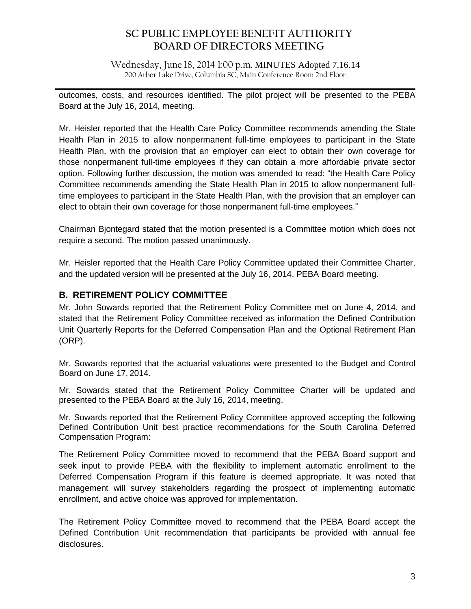Wednesday, June 18, 2014 1:00 p.m. MINUTES Adopted 7.16.14 200 Arbor Lake Drive, Columbia SC, Main Conference Room 2nd Floor

 $\mathcal{L}_\mathcal{L} = \mathcal{L}_\mathcal{L} = \mathcal{L}_\mathcal{L} = \mathcal{L}_\mathcal{L} = \mathcal{L}_\mathcal{L} = \mathcal{L}_\mathcal{L} = \mathcal{L}_\mathcal{L} = \mathcal{L}_\mathcal{L} = \mathcal{L}_\mathcal{L} = \mathcal{L}_\mathcal{L} = \mathcal{L}_\mathcal{L} = \mathcal{L}_\mathcal{L} = \mathcal{L}_\mathcal{L} = \mathcal{L}_\mathcal{L} = \mathcal{L}_\mathcal{L} = \mathcal{L}_\mathcal{L} = \mathcal{L}_\mathcal{L}$ 

outcomes, costs, and resources identified. The pilot project will be presented to the PEBA Board at the July 16, 2014, meeting.

Mr. Heisler reported that the Health Care Policy Committee recommends amending the State Health Plan in 2015 to allow nonpermanent full-time employees to participant in the State Health Plan, with the provision that an employer can elect to obtain their own coverage for those nonpermanent full-time employees if they can obtain a more affordable private sector option. Following further discussion, the motion was amended to read: "the Health Care Policy Committee recommends amending the State Health Plan in 2015 to allow nonpermanent fulltime employees to participant in the State Health Plan, with the provision that an employer can elect to obtain their own coverage for those nonpermanent full-time employees."

Chairman Bjontegard stated that the motion presented is a Committee motion which does not require a second. The motion passed unanimously.

Mr. Heisler reported that the Health Care Policy Committee updated their Committee Charter, and the updated version will be presented at the July 16, 2014, PEBA Board meeting.

# **B. RETIREMENT POLICY COMMITTEE**

Mr. John Sowards reported that the Retirement Policy Committee met on June 4, 2014, and stated that the Retirement Policy Committee received as information the Defined Contribution Unit Quarterly Reports for the Deferred Compensation Plan and the Optional Retirement Plan (ORP).

Mr. Sowards reported that the actuarial valuations were presented to the Budget and Control Board on June 17, 2014.

Mr. Sowards stated that the Retirement Policy Committee Charter will be updated and presented to the PEBA Board at the July 16, 2014, meeting.

Mr. Sowards reported that the Retirement Policy Committee approved accepting the following Defined Contribution Unit best practice recommendations for the South Carolina Deferred Compensation Program:

The Retirement Policy Committee moved to recommend that the PEBA Board support and seek input to provide PEBA with the flexibility to implement automatic enrollment to the Deferred Compensation Program if this feature is deemed appropriate. It was noted that management will survey stakeholders regarding the prospect of implementing automatic enrollment, and active choice was approved for implementation.

The Retirement Policy Committee moved to recommend that the PEBA Board accept the Defined Contribution Unit recommendation that participants be provided with annual fee disclosures.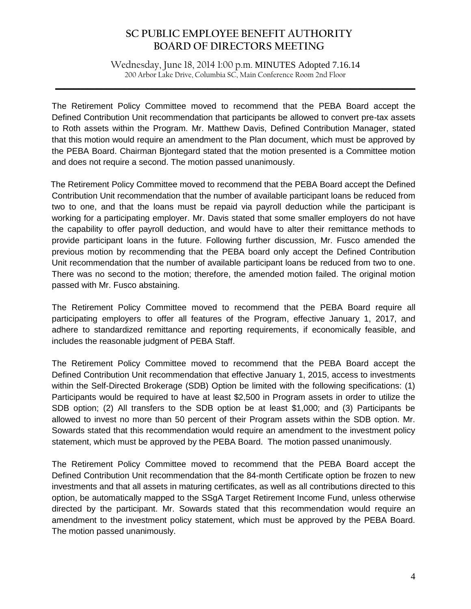Wednesday, June 18, 2014 1:00 p.m. MINUTES Adopted 7.16.14 200 Arbor Lake Drive, Columbia SC, Main Conference Room 2nd Floor

 $\mathcal{L}_\mathcal{L} = \mathcal{L}_\mathcal{L} = \mathcal{L}_\mathcal{L} = \mathcal{L}_\mathcal{L} = \mathcal{L}_\mathcal{L} = \mathcal{L}_\mathcal{L} = \mathcal{L}_\mathcal{L} = \mathcal{L}_\mathcal{L} = \mathcal{L}_\mathcal{L} = \mathcal{L}_\mathcal{L} = \mathcal{L}_\mathcal{L} = \mathcal{L}_\mathcal{L} = \mathcal{L}_\mathcal{L} = \mathcal{L}_\mathcal{L} = \mathcal{L}_\mathcal{L} = \mathcal{L}_\mathcal{L} = \mathcal{L}_\mathcal{L}$ 

The Retirement Policy Committee moved to recommend that the PEBA Board accept the Defined Contribution Unit recommendation that participants be allowed to convert pre-tax assets to Roth assets within the Program. Mr. Matthew Davis, Defined Contribution Manager, stated that this motion would require an amendment to the Plan document, which must be approved by the PEBA Board. Chairman Bjontegard stated that the motion presented is a Committee motion and does not require a second. The motion passed unanimously.

The Retirement Policy Committee moved to recommend that the PEBA Board accept the Defined Contribution Unit recommendation that the number of available participant loans be reduced from two to one, and that the loans must be repaid via payroll deduction while the participant is working for a participating employer. Mr. Davis stated that some smaller employers do not have the capability to offer payroll deduction, and would have to alter their remittance methods to provide participant loans in the future. Following further discussion, Mr. Fusco amended the previous motion by recommending that the PEBA board only accept the Defined Contribution Unit recommendation that the number of available participant loans be reduced from two to one. There was no second to the motion; therefore, the amended motion failed. The original motion passed with Mr. Fusco abstaining.

The Retirement Policy Committee moved to recommend that the PEBA Board require all participating employers to offer all features of the Program, effective January 1, 2017, and adhere to standardized remittance and reporting requirements, if economically feasible, and includes the reasonable judgment of PEBA Staff.

The Retirement Policy Committee moved to recommend that the PEBA Board accept the Defined Contribution Unit recommendation that effective January 1, 2015, access to investments within the Self-Directed Brokerage (SDB) Option be limited with the following specifications: (1) Participants would be required to have at least \$2,500 in Program assets in order to utilize the SDB option; (2) All transfers to the SDB option be at least \$1,000; and (3) Participants be allowed to invest no more than 50 percent of their Program assets within the SDB option. Mr. Sowards stated that this recommendation would require an amendment to the investment policy statement, which must be approved by the PEBA Board. The motion passed unanimously.

The Retirement Policy Committee moved to recommend that the PEBA Board accept the Defined Contribution Unit recommendation that the 84-month Certificate option be frozen to new investments and that all assets in maturing certificates, as well as all contributions directed to this option, be automatically mapped to the SSgA Target Retirement Income Fund, unless otherwise directed by the participant. Mr. Sowards stated that this recommendation would require an amendment to the investment policy statement, which must be approved by the PEBA Board. The motion passed unanimously.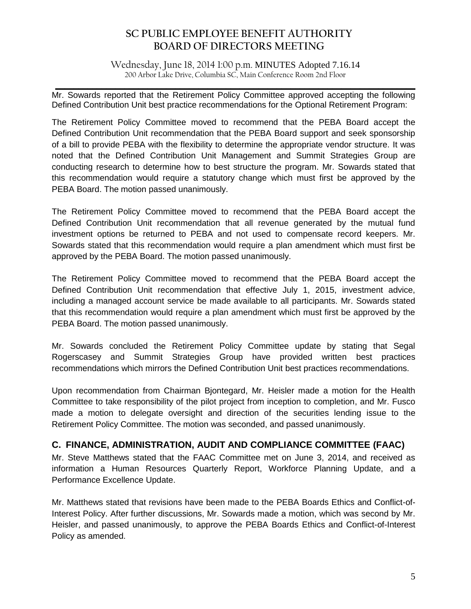Wednesday, June 18, 2014 1:00 p.m. MINUTES Adopted 7.16.14 200 Arbor Lake Drive, Columbia SC, Main Conference Room 2nd Floor

 $\mathcal{L}_\mathcal{L} = \mathcal{L}_\mathcal{L} = \mathcal{L}_\mathcal{L} = \mathcal{L}_\mathcal{L} = \mathcal{L}_\mathcal{L} = \mathcal{L}_\mathcal{L} = \mathcal{L}_\mathcal{L} = \mathcal{L}_\mathcal{L} = \mathcal{L}_\mathcal{L} = \mathcal{L}_\mathcal{L} = \mathcal{L}_\mathcal{L} = \mathcal{L}_\mathcal{L} = \mathcal{L}_\mathcal{L} = \mathcal{L}_\mathcal{L} = \mathcal{L}_\mathcal{L} = \mathcal{L}_\mathcal{L} = \mathcal{L}_\mathcal{L}$ Mr. Sowards reported that the Retirement Policy Committee approved accepting the following Defined Contribution Unit best practice recommendations for the Optional Retirement Program:

The Retirement Policy Committee moved to recommend that the PEBA Board accept the Defined Contribution Unit recommendation that the PEBA Board support and seek sponsorship of a bill to provide PEBA with the flexibility to determine the appropriate vendor structure. It was noted that the Defined Contribution Unit Management and Summit Strategies Group are conducting research to determine how to best structure the program. Mr. Sowards stated that this recommendation would require a statutory change which must first be approved by the PEBA Board. The motion passed unanimously.

The Retirement Policy Committee moved to recommend that the PEBA Board accept the Defined Contribution Unit recommendation that all revenue generated by the mutual fund investment options be returned to PEBA and not used to compensate record keepers. Mr. Sowards stated that this recommendation would require a plan amendment which must first be approved by the PEBA Board. The motion passed unanimously.

The Retirement Policy Committee moved to recommend that the PEBA Board accept the Defined Contribution Unit recommendation that effective July 1, 2015, investment advice, including a managed account service be made available to all participants. Mr. Sowards stated that this recommendation would require a plan amendment which must first be approved by the PEBA Board. The motion passed unanimously.

Mr. Sowards concluded the Retirement Policy Committee update by stating that Segal Rogerscasey and Summit Strategies Group have provided written best practices recommendations which mirrors the Defined Contribution Unit best practices recommendations.

Upon recommendation from Chairman Bjontegard, Mr. Heisler made a motion for the Health Committee to take responsibility of the pilot project from inception to completion, and Mr. Fusco made a motion to delegate oversight and direction of the securities lending issue to the Retirement Policy Committee. The motion was seconded, and passed unanimously.

# **C. FINANCE, ADMINISTRATION, AUDIT AND COMPLIANCE COMMITTEE (FAAC)**

Mr. Steve Matthews stated that the FAAC Committee met on June 3, 2014, and received as information a Human Resources Quarterly Report, Workforce Planning Update, and a Performance Excellence Update.

Mr. Matthews stated that revisions have been made to the PEBA Boards Ethics and Conflict-of-Interest Policy. After further discussions, Mr. Sowards made a motion, which was second by Mr. Heisler, and passed unanimously, to approve the PEBA Boards Ethics and Conflict-of-Interest Policy as amended.